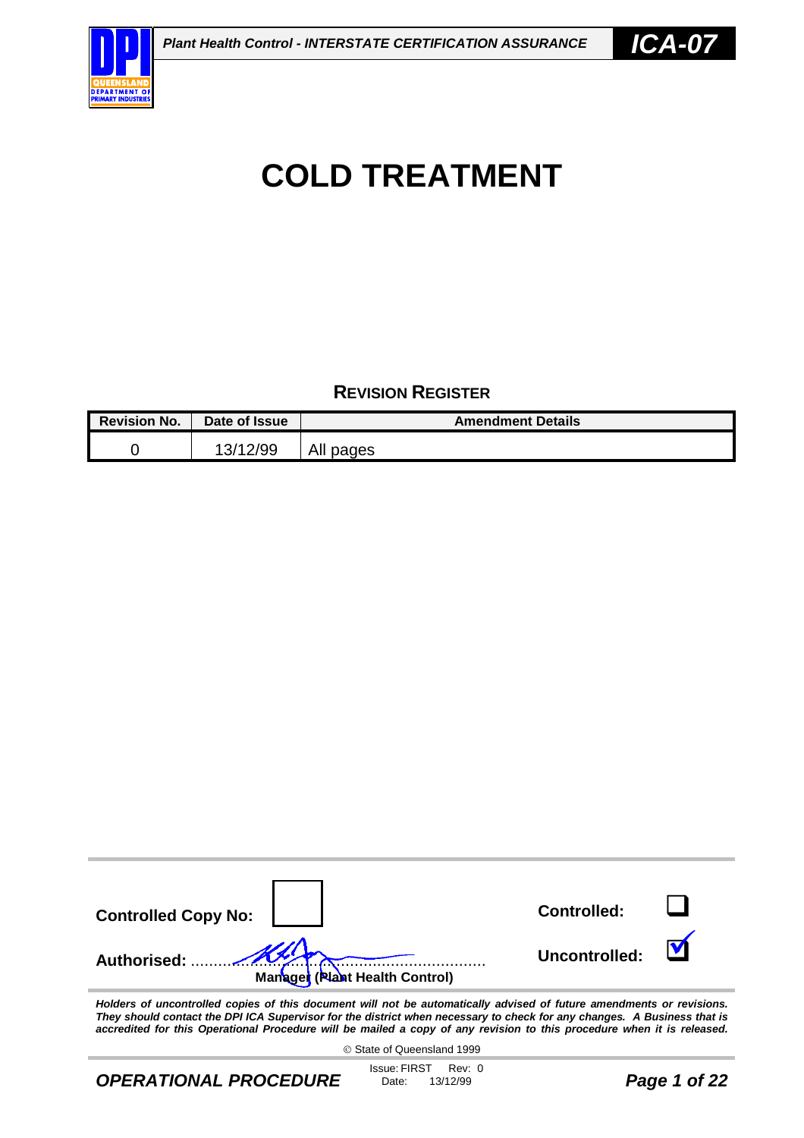

#### **REVISION REGISTER**

| <b>Revision No.</b> | Date of Issue | <b>Amendment Details</b> |
|---------------------|---------------|--------------------------|
|                     | 13/12/99      | All pages                |

| <b>Controlled Copy No:</b>                                                                                                        | <b>Controlled:</b> |  |
|-----------------------------------------------------------------------------------------------------------------------------------|--------------------|--|
| <b>Authorised:</b><br>Managet (Plant Health Control)                                                                              | Uncontrolled:      |  |
| the december of consecutive that and the decomposit with a state of constantly solutional of future among december on particle or |                    |  |

*Holders of uncontrolled copies of this document will not be automatically advised of future amendments or revisions. They should contact the DPI ICA Supervisor for the district when necessary to check for any changes. A Business that is accredited for this Operational Procedure will be mailed a copy of any revision to this procedure when it is released.*

State of Queensland 1999

*OPERATIONAL PROCEDURE*

Issue: FIRST Rev: 0<br>Date: 13/12/99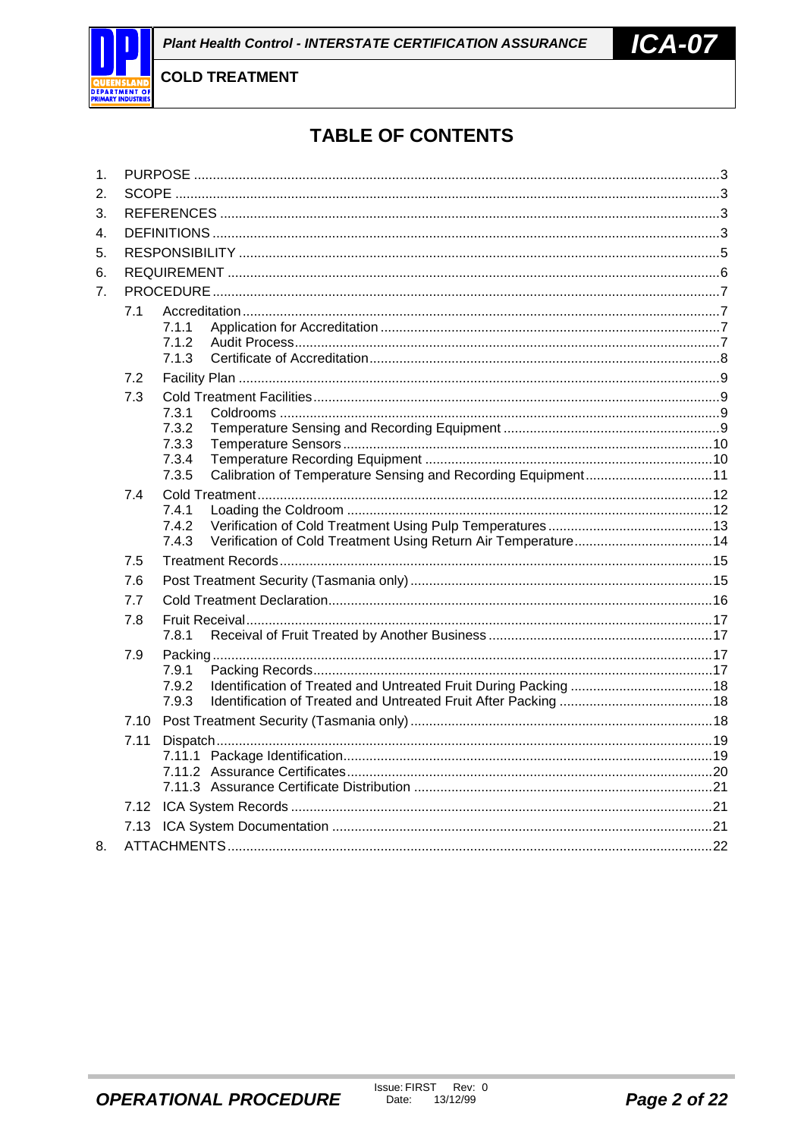

# **TABLE OF CONTENTS**

| 1.               |              |                |                                                              |  |
|------------------|--------------|----------------|--------------------------------------------------------------|--|
| 2.               |              |                |                                                              |  |
| 3.               |              |                |                                                              |  |
| 4.               |              |                |                                                              |  |
| 5.               |              |                |                                                              |  |
| 6.               |              |                |                                                              |  |
| $\overline{7}$ . |              |                |                                                              |  |
|                  | 7.1          |                |                                                              |  |
|                  |              | 7.1.1          |                                                              |  |
|                  |              | 7.1.2<br>7.1.3 |                                                              |  |
|                  |              |                |                                                              |  |
|                  | 7.2          |                |                                                              |  |
|                  | 7.3          | 7.3.1          |                                                              |  |
|                  |              | 7.3.2          |                                                              |  |
|                  |              | 7.3.3          |                                                              |  |
|                  |              | 7.3.4          |                                                              |  |
|                  |              | 7.3.5          | Calibration of Temperature Sensing and Recording Equipment11 |  |
|                  | 7.4          | 7.4.1          |                                                              |  |
|                  |              | 7.4.2          |                                                              |  |
|                  |              | 7.4.3          |                                                              |  |
|                  | 7.5          |                |                                                              |  |
|                  | 7.6          |                |                                                              |  |
|                  | 7.7          |                |                                                              |  |
|                  | 7.8          |                |                                                              |  |
|                  |              | 7.8.1          |                                                              |  |
|                  | 7.9          |                |                                                              |  |
|                  |              | 7.9.1          |                                                              |  |
|                  |              | 7.9.2<br>7.9.3 |                                                              |  |
|                  |              |                |                                                              |  |
|                  | 7.10<br>7.11 |                |                                                              |  |
|                  |              |                |                                                              |  |
|                  |              |                |                                                              |  |
|                  |              |                |                                                              |  |
|                  | 7.12         |                |                                                              |  |
|                  |              |                |                                                              |  |
| 8.               |              |                |                                                              |  |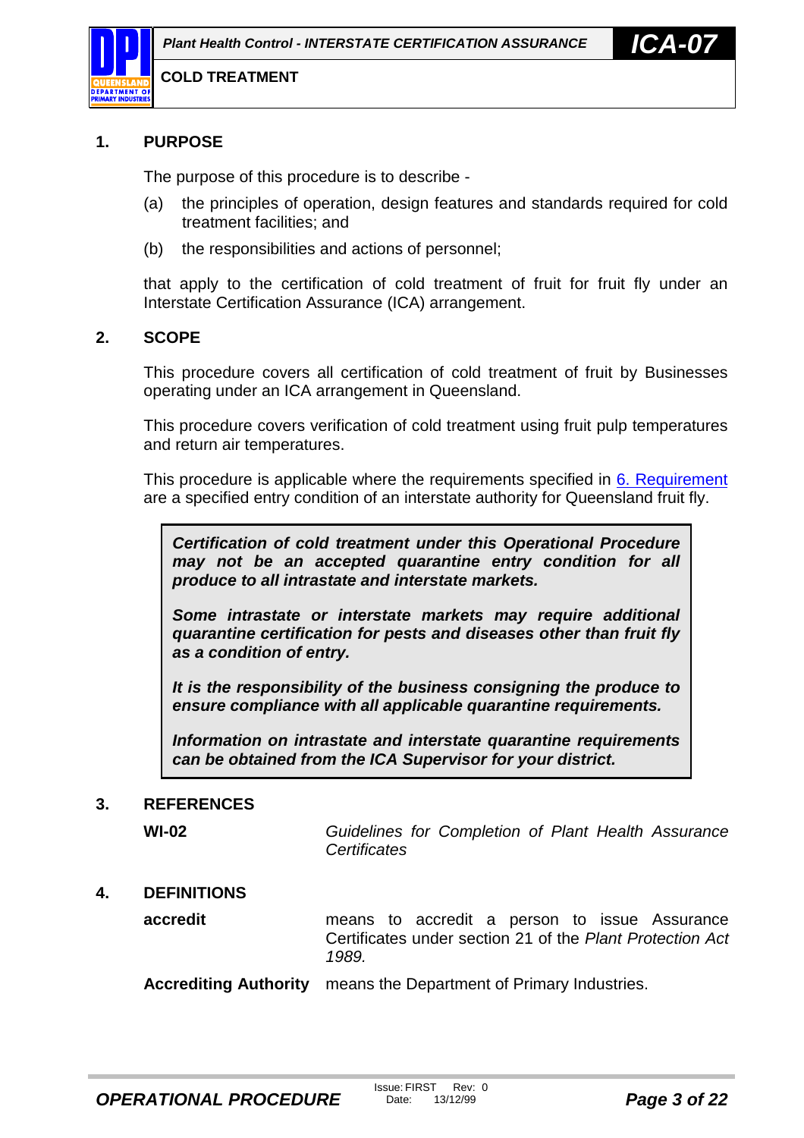<span id="page-2-0"></span>

#### **1. PURPOSE**

The purpose of this procedure is to describe -

- (a) the principles of operation, design features and standards required for cold treatment facilities; and
- (b) the responsibilities and actions of personnel;

that apply to the certification of cold treatment of fruit for fruit fly under an Interstate Certification Assurance (ICA) arrangement.

#### **2. SCOPE**

This procedure covers all certification of cold treatment of fruit by Businesses operating under an ICA arrangement in Queensland.

This procedure covers verification of cold treatment using fruit pulp temperatures and return air temperatures.

This procedure is applicable where the requirements specified in [6.](#page-5-0) [Requirement](#page-5-0) are a specified entry condition of an interstate authority for Queensland fruit fly.

*Certification of cold treatment under this Operational Procedure may not be an accepted quarantine entry condition for all produce to all intrastate and interstate markets.*

*Some intrastate or interstate markets may require additional quarantine certification for pests and diseases other than fruit fly as a condition of entry.*

*It is the responsibility of the business consigning the produce to ensure compliance with all applicable quarantine requirements.*

*Information on intrastate and interstate quarantine requirements can be obtained from the ICA Supervisor for your district.*

#### **3. REFERENCES**

**WI-02** *Guidelines for Completion of Plant Health Assurance Certificates*

#### **4. DEFINITIONS**

**accredit** means to accredit a person to issue Assurance Certificates under section 21 of the *Plant Protection Act 1989.*

**Accrediting Authority** means the Department of Primary Industries.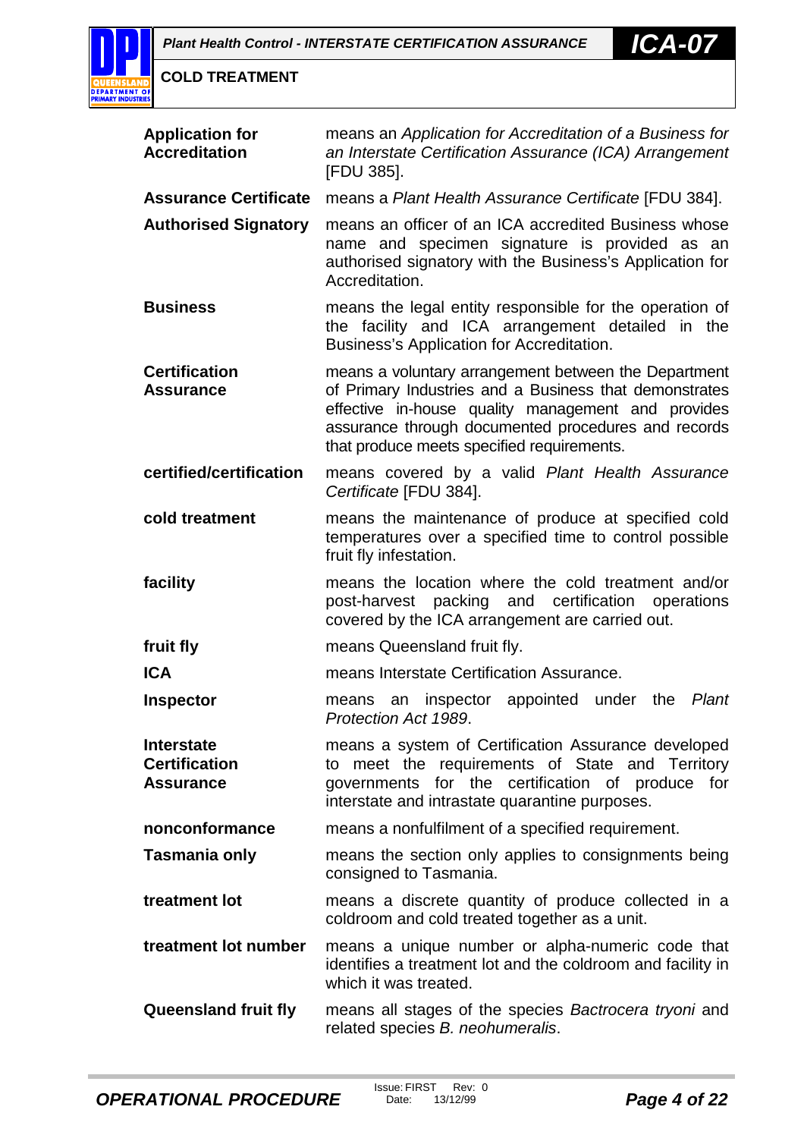

| <b>Application for</b><br><b>Accreditation</b>                | means an Application for Accreditation of a Business for<br>an Interstate Certification Assurance (ICA) Arrangement<br>[FDU 385].                                                                                                                                         |  |
|---------------------------------------------------------------|---------------------------------------------------------------------------------------------------------------------------------------------------------------------------------------------------------------------------------------------------------------------------|--|
| <b>Assurance Certificate</b>                                  | means a Plant Health Assurance Certificate [FDU 384].                                                                                                                                                                                                                     |  |
| <b>Authorised Signatory</b>                                   | means an officer of an ICA accredited Business whose<br>name and specimen signature is provided as an<br>authorised signatory with the Business's Application for<br>Accreditation.                                                                                       |  |
| <b>Business</b>                                               | means the legal entity responsible for the operation of<br>the facility and ICA arrangement detailed in the<br>Business's Application for Accreditation.                                                                                                                  |  |
| <b>Certification</b><br><b>Assurance</b>                      | means a voluntary arrangement between the Department<br>of Primary Industries and a Business that demonstrates<br>effective in-house quality management and provides<br>assurance through documented procedures and records<br>that produce meets specified requirements. |  |
| certified/certification                                       | means covered by a valid Plant Health Assurance<br>Certificate [FDU 384].                                                                                                                                                                                                 |  |
| cold treatment                                                | means the maintenance of produce at specified cold<br>temperatures over a specified time to control possible<br>fruit fly infestation.                                                                                                                                    |  |
| facility                                                      | means the location where the cold treatment and/or<br>post-harvest packing and certification operations<br>covered by the ICA arrangement are carried out.                                                                                                                |  |
| fruit fly                                                     | means Queensland fruit fly.                                                                                                                                                                                                                                               |  |
| <b>ICA</b>                                                    | means Interstate Certification Assurance.                                                                                                                                                                                                                                 |  |
| <b>Inspector</b>                                              | appointed under<br>Plant<br>an inspector<br>the<br>means<br>Protection Act 1989.                                                                                                                                                                                          |  |
| <b>Interstate</b><br><b>Certification</b><br><b>Assurance</b> | means a system of Certification Assurance developed<br>to meet the requirements of State and Territory<br>for the certification of produce<br>for<br>governments<br>interstate and intrastate quarantine purposes.                                                        |  |
| nonconformance                                                | means a nonfulfilment of a specified requirement.                                                                                                                                                                                                                         |  |
| Tasmania only                                                 | means the section only applies to consignments being<br>consigned to Tasmania.                                                                                                                                                                                            |  |
| treatment lot                                                 | means a discrete quantity of produce collected in a<br>coldroom and cold treated together as a unit.                                                                                                                                                                      |  |
| treatment lot number                                          | means a unique number or alpha-numeric code that<br>identifies a treatment lot and the coldroom and facility in<br>which it was treated.                                                                                                                                  |  |
| <b>Queensland fruit fly</b>                                   | means all stages of the species Bactrocera tryoni and<br>related species B. neohumeralis.                                                                                                                                                                                 |  |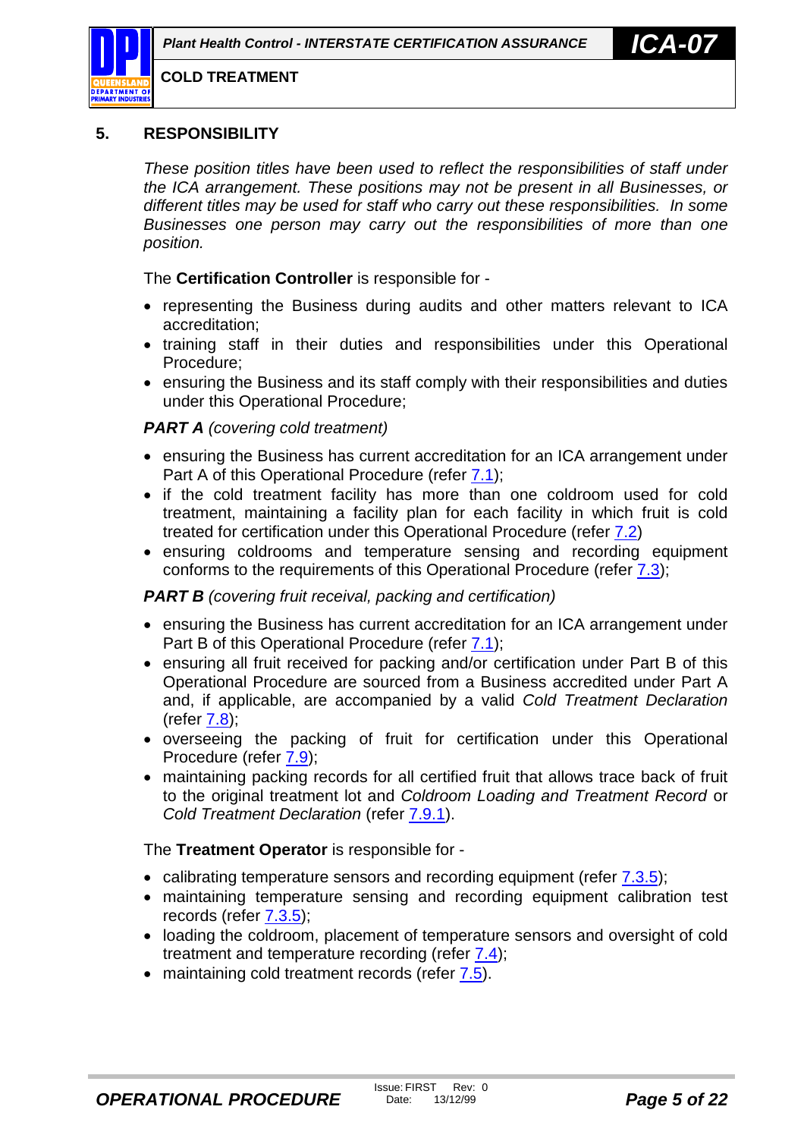#### <span id="page-4-0"></span>**5. RESPONSIBILITY**

*These position titles have been used to reflect the responsibilities of staff under the ICA arrangement. These positions may not be present in all Businesses, or different titles may be used for staff who carry out these responsibilities. In some Businesses one person may carry out the responsibilities of more than one position.*

The **Certification Controller** is responsible for -

- representing the Business during audits and other matters relevant to ICA accreditation;
- training staff in their duties and responsibilities under this Operational Procedure;
- ensuring the Business and its staff comply with their responsibilities and duties under this Operational Procedure;

#### *PART A (covering cold treatment)*

- ensuring the Business has current accreditation for an ICA arrangement under Part A of this Operational Procedure (refer [7.1\)](#page-6-0);
- if the cold treatment facility has more than one coldroom used for cold treatment, maintaining a facility plan for each facility in which fruit is cold treated for certification under this Operational Procedure (refer [7.2\)](#page-8-0)
- ensuring coldrooms and temperature sensing and recording equipment conforms to the requirements of this Operational Procedure (refer [7.3\)](#page-8-0);

#### *PART B (covering fruit receival, packing and certification)*

- ensuring the Business has current accreditation for an ICA arrangement under Part B of this Operational Procedure (refer [7.1\)](#page-6-0);
- ensuring all fruit received for packing and/or certification under Part B of this Operational Procedure are sourced from a Business accredited under Part A and, if applicable, are accompanied by a valid *Cold Treatment Declaration*  $(refer 7.8)$  $(refer 7.8)$
- overseeing the packing of fruit for certification under this Operational Procedure (refer [7.9\)](#page-16-0);
- maintaining packing records for all certified fruit that allows trace back of fruit to the original treatment lot and *Coldroom Loading and Treatment Record* or *Cold Treatment Declaration* (refer [7.9.1\)](#page-16-0).

The **Treatment Operator** is responsible for -

- calibrating temperature sensors and recording equipment (refer [7.3.5\)](#page-10-0);
- maintaining temperature sensing and recording equipment calibration test records (refer [7.3.5\)](#page-10-0);
- loading the coldroom, placement of temperature sensors and oversight of cold treatment and temperature recording (refer [7.4\)](#page-11-0);
- maintaining cold treatment records (refer [7.5\)](#page-14-0).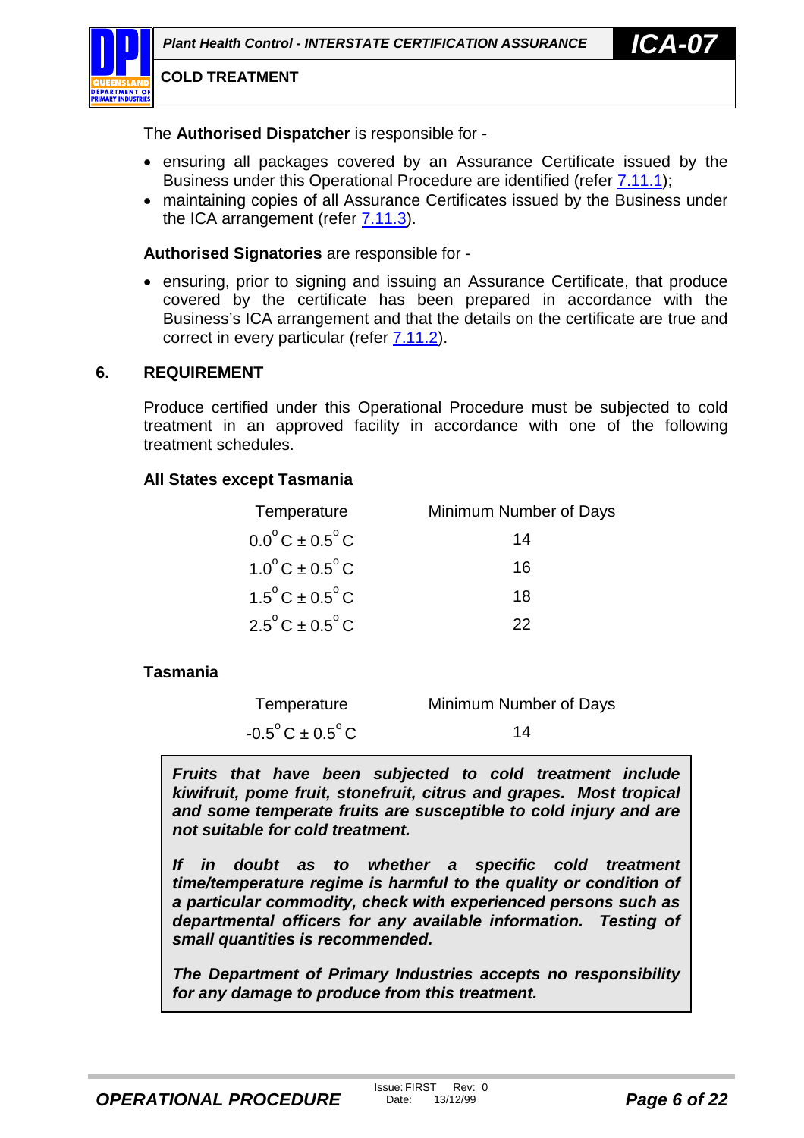<span id="page-5-0"></span>The **Authorised Dispatcher** is responsible for -

- ensuring all packages covered by an Assurance Certificate issued by the Business under this Operational Procedure are identified (refer [7.11.1\)](#page-18-0);
- maintaining copies of all Assurance Certificates issued by the Business under the ICA arrangement (refer [7.11.3\)](#page-20-0).

**Authorised Signatories** are responsible for -

• ensuring, prior to signing and issuing an Assurance Certificate, that produce covered by the certificate has been prepared in accordance with the Business's ICA arrangement and that the details on the certificate are true and correct in every particular (refer  $7.11.2$ ).

# **6. REQUIREMENT**

Produce certified under this Operational Procedure must be subjected to cold treatment in an approved facility in accordance with one of the following treatment schedules.

# **All States except Tasmania**

| Temperature                          | Minimum Number of Days |
|--------------------------------------|------------------------|
| $0.0^{\circ}$ C ± $0.5^{\circ}$ C    | 14                     |
| $1.0^{\circ}$ C ± 0.5 <sup>°</sup> C | 16                     |
| $1.5^{\circ}$ C ± 0.5 $^{\circ}$ C   | 18                     |
| $2.5^{\circ}$ C ± 0.5 $^{\circ}$ C   | つつ                     |

# **Tasmania**

| Temperature                         | Minimum Number of Days |
|-------------------------------------|------------------------|
| $-0.5^{\circ}$ C ± 0.5 $^{\circ}$ C | 14                     |

*Fruits that have been subjected to cold treatment include kiwifruit, pome fruit, stonefruit, citrus and grapes. Most tropical and some temperate fruits are susceptible to cold injury and are not suitable for cold treatment.*

*If in doubt as to whether a specific cold treatment time/temperature regime is harmful to the quality or condition of a particular commodity, check with experienced persons such as departmental officers for any available information. Testing of small quantities is recommended.*

*The Department of Primary Industries accepts no responsibility for any damage to produce from this treatment.*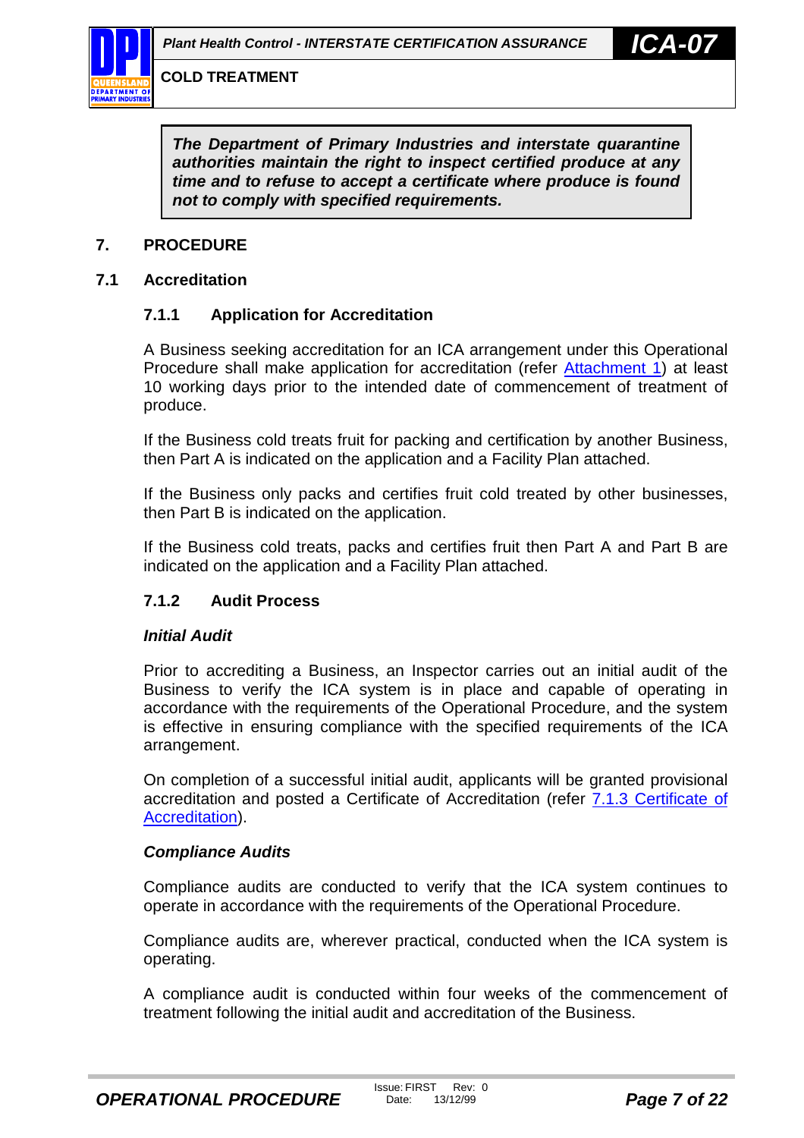<span id="page-6-0"></span>

*The Department of Primary Industries and interstate quarantine authorities maintain the right to inspect certified produce at any time and to refuse to accept a certificate where produce is found not to comply with specified requirements.*

#### **7. PROCEDURE**

#### **7.1 Accreditation**

#### **7.1.1 Application for Accreditation**

A Business seeking accreditation for an ICA arrangement under this Operational Procedure shall make application for accreditation (refer [Attachment 1\)](#page-22-0) at least 10 working days prior to the intended date of commencement of treatment of produce.

If the Business cold treats fruit for packing and certification by another Business, then Part A is indicated on the application and a Facility Plan attached.

If the Business only packs and certifies fruit cold treated by other businesses, then Part B is indicated on the application.

If the Business cold treats, packs and certifies fruit then Part A and Part B are indicated on the application and a Facility Plan attached.

#### **7.1.2 Audit Process**

#### *Initial Audit*

Prior to accrediting a Business, an Inspector carries out an initial audit of the Business to verify the ICA system is in place and capable of operating in accordance with the requirements of the Operational Procedure, and the system is effective in ensuring compliance with the specified requirements of the ICA arrangement.

On completion of a successful initial audit, applicants will be granted provisional accreditation and posted a Certificate of Accreditation (refer [7.1.3 Certificate of](#page-7-0) [Accreditation\)](#page-7-0).

#### *Compliance Audits*

Compliance audits are conducted to verify that the ICA system continues to operate in accordance with the requirements of the Operational Procedure.

Compliance audits are, wherever practical, conducted when the ICA system is operating.

A compliance audit is conducted within four weeks of the commencement of treatment following the initial audit and accreditation of the Business.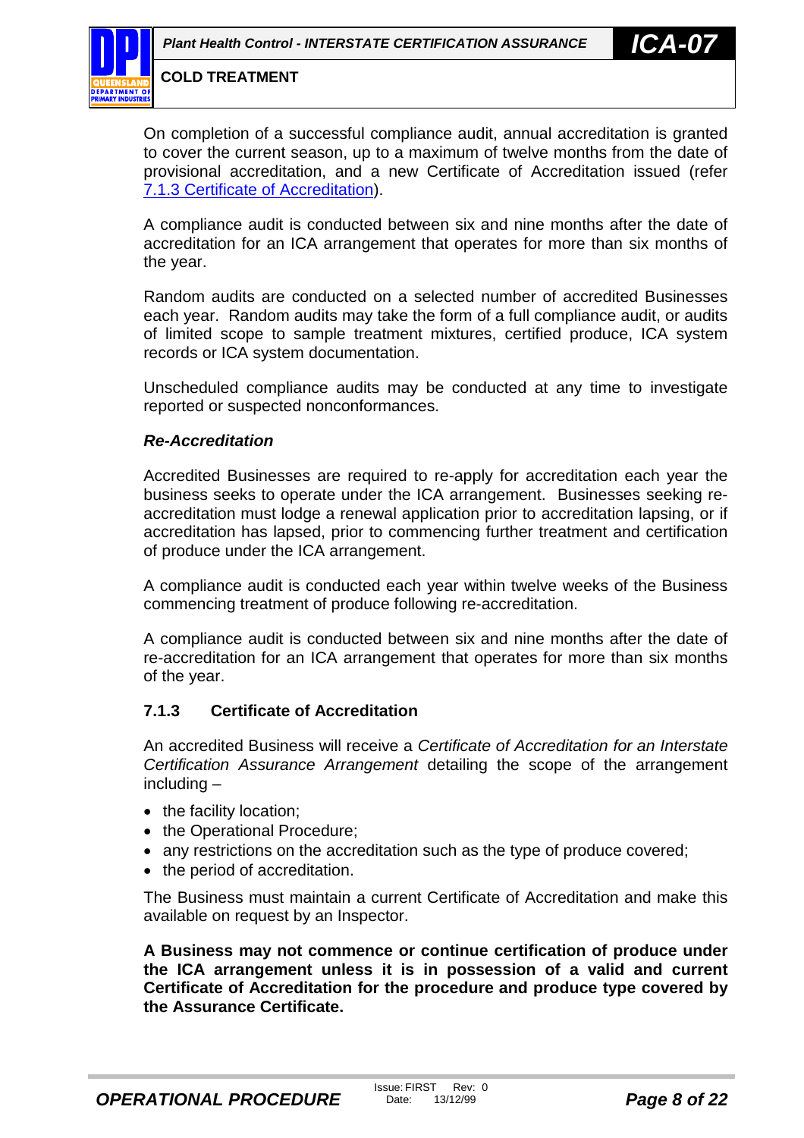<span id="page-7-0"></span>

On completion of a successful compliance audit, annual accreditation is granted to cover the current season, up to a maximum of twelve months from the date of provisional accreditation, and a new Certificate of Accreditation issued (refer 7.1.3 Certificate of Accreditation).

A compliance audit is conducted between six and nine months after the date of accreditation for an ICA arrangement that operates for more than six months of the year.

Random audits are conducted on a selected number of accredited Businesses each year. Random audits may take the form of a full compliance audit, or audits of limited scope to sample treatment mixtures, certified produce, ICA system records or ICA system documentation.

Unscheduled compliance audits may be conducted at any time to investigate reported or suspected nonconformances.

#### *Re-Accreditation*

Accredited Businesses are required to re-apply for accreditation each year the business seeks to operate under the ICA arrangement. Businesses seeking reaccreditation must lodge a renewal application prior to accreditation lapsing, or if accreditation has lapsed, prior to commencing further treatment and certification of produce under the ICA arrangement.

A compliance audit is conducted each year within twelve weeks of the Business commencing treatment of produce following re-accreditation.

A compliance audit is conducted between six and nine months after the date of re-accreditation for an ICA arrangement that operates for more than six months of the year.

#### **7.1.3 Certificate of Accreditation**

An accredited Business will receive a *Certificate of Accreditation for an Interstate Certification Assurance Arrangement* detailing the scope of the arrangement including –

- the facility location;
- the Operational Procedure;
- any restrictions on the accreditation such as the type of produce covered;
- the period of accreditation.

The Business must maintain a current Certificate of Accreditation and make this available on request by an Inspector.

**A Business may not commence or continue certification of produce under the ICA arrangement unless it is in possession of a valid and current Certificate of Accreditation for the procedure and produce type covered by the Assurance Certificate.**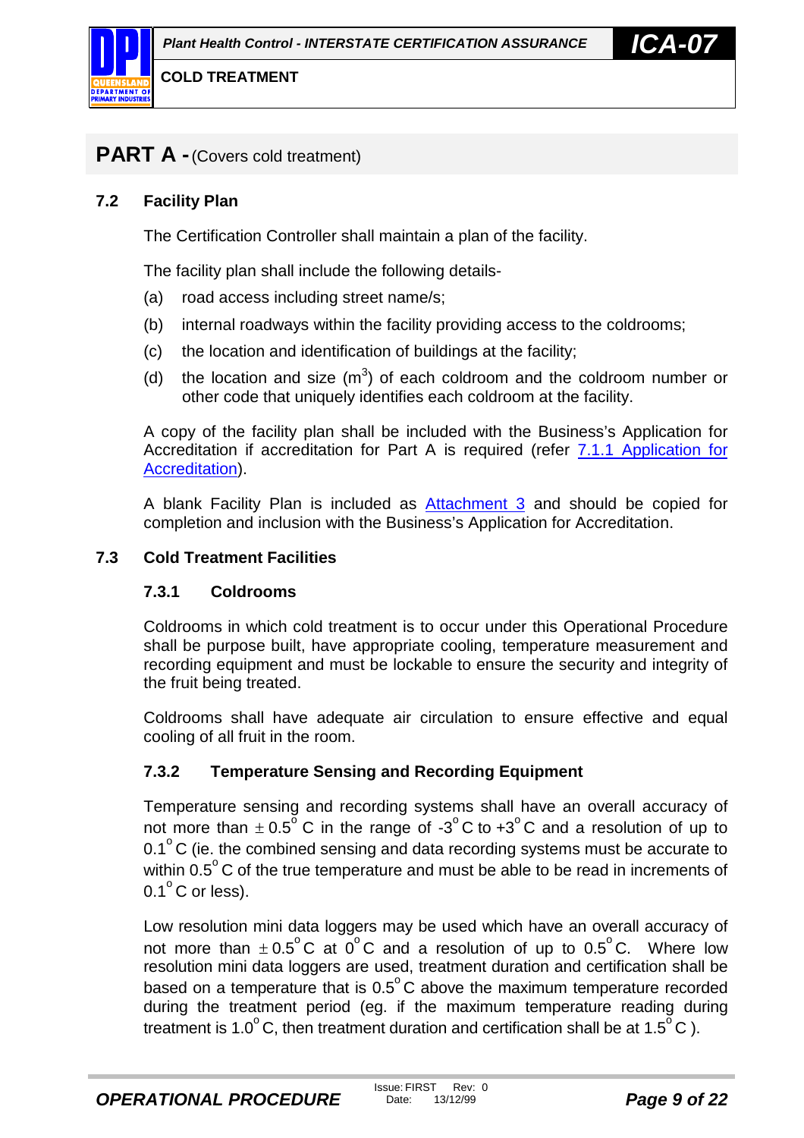<span id="page-8-0"></span>

# **PART A -**(Covers cold treatment)

#### **7.2 Facility Plan**

The Certification Controller shall maintain a plan of the facility.

The facility plan shall include the following details-

- (a) road access including street name/s;
- (b) internal roadways within the facility providing access to the coldrooms;
- (c) the location and identification of buildings at the facility;
- (d) the location and size  $(m^3)$  of each coldroom and the coldroom number or other code that uniquely identifies each coldroom at the facility.

A copy of the facility plan shall be included with the Business's Application for Accreditation if accreditation for Part A is required (refer [7.1.1 Application for](#page-6-0) [Accreditation\)](#page-6-0).

A blank Facility Plan is included as [Attachment 3](#page-24-0) and should be copied for completion and inclusion with the Business's Application for Accreditation.

#### **7.3 Cold Treatment Facilities**

#### **7.3.1 Coldrooms**

Coldrooms in which cold treatment is to occur under this Operational Procedure shall be purpose built, have appropriate cooling, temperature measurement and recording equipment and must be lockable to ensure the security and integrity of the fruit being treated.

Coldrooms shall have adequate air circulation to ensure effective and equal cooling of all fruit in the room.

#### **7.3.2 Temperature Sensing and Recording Equipment**

Temperature sensing and recording systems shall have an overall accuracy of not more than  $\pm$  0.5<sup>o</sup> C in the range of -3<sup>o</sup> C to +3<sup>o</sup> C and a resolution of up to  $0.1^{\circ}$ C (ie. the combined sensing and data recording systems must be accurate to within  $0.5^{\circ}$  C of the true temperature and must be able to be read in increments of  $0.1^\circ$ C or less).

Low resolution mini data loggers may be used which have an overall accuracy of not more than  $\pm 0.5^{\circ}$ C at 0<sup>o</sup>C and a resolution of up to 0.5<sup>o</sup>C. Where low resolution mini data loggers are used, treatment duration and certification shall be based on a temperature that is  $0.5^{\circ}$ C above the maximum temperature recorded during the treatment period (eg. if the maximum temperature reading during treatment is 1.0 $^{\circ}$ C, then treatment duration and certification shall be at 1.5 $^{\circ}$ C).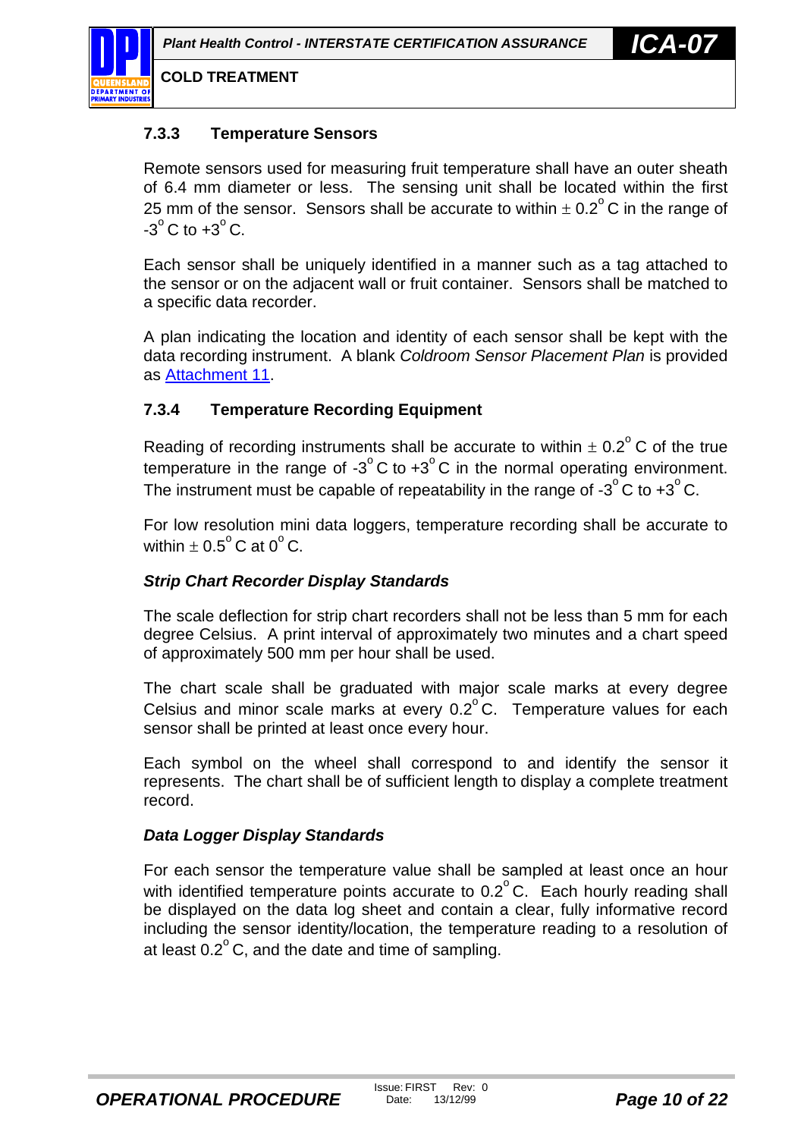<span id="page-9-0"></span>

#### **7.3.3 Temperature Sensors**

Remote sensors used for measuring fruit temperature shall have an outer sheath of 6.4 mm diameter or less. The sensing unit shall be located within the first 25 mm of the sensor. Sensors shall be accurate to within  $\pm$  0.2 $\mathrm{^{\circ}}$ C in the range of  $-3^\circ$ C to  $+3^\circ$ C.

Each sensor shall be uniquely identified in a manner such as a tag attached to the sensor or on the adjacent wall or fruit container. Sensors shall be matched to a specific data recorder.

A plan indicating the location and identity of each sensor shall be kept with the data recording instrument. A blank *Coldroom Sensor Placement Plan* is provided as [Attachment 11.](#page-33-0)

#### **7.3.4 Temperature Recording Equipment**

Reading of recording instruments shall be accurate to within  $\pm$  0.2<sup>°</sup> C of the true temperature in the range of  $-3^\circ$ C to  $+3^\circ$ C in the normal operating environment. The instrument must be capable of repeatability in the range of -3 $^{\circ}$ C to +3 $^{\circ}$ C.

For low resolution mini data loggers, temperature recording shall be accurate to within  $\pm$  0.5 $^{\circ}$ C at 0 $^{\circ}$  C.

#### *Strip Chart Recorder Display Standards*

The scale deflection for strip chart recorders shall not be less than 5 mm for each degree Celsius. A print interval of approximately two minutes and a chart speed of approximately 500 mm per hour shall be used.

The chart scale shall be graduated with major scale marks at every degree Celsius and minor scale marks at every  $0.2^{\circ}$  C. Temperature values for each sensor shall be printed at least once every hour.

Each symbol on the wheel shall correspond to and identify the sensor it represents. The chart shall be of sufficient length to display a complete treatment record.

#### *Data Logger Display Standards*

For each sensor the temperature value shall be sampled at least once an hour with identified temperature points accurate to  $0.2^{\circ}$  C. Each hourly reading shall be displayed on the data log sheet and contain a clear, fully informative record including the sensor identity/location, the temperature reading to a resolution of at least  $0.2^{\circ}$  C, and the date and time of sampling.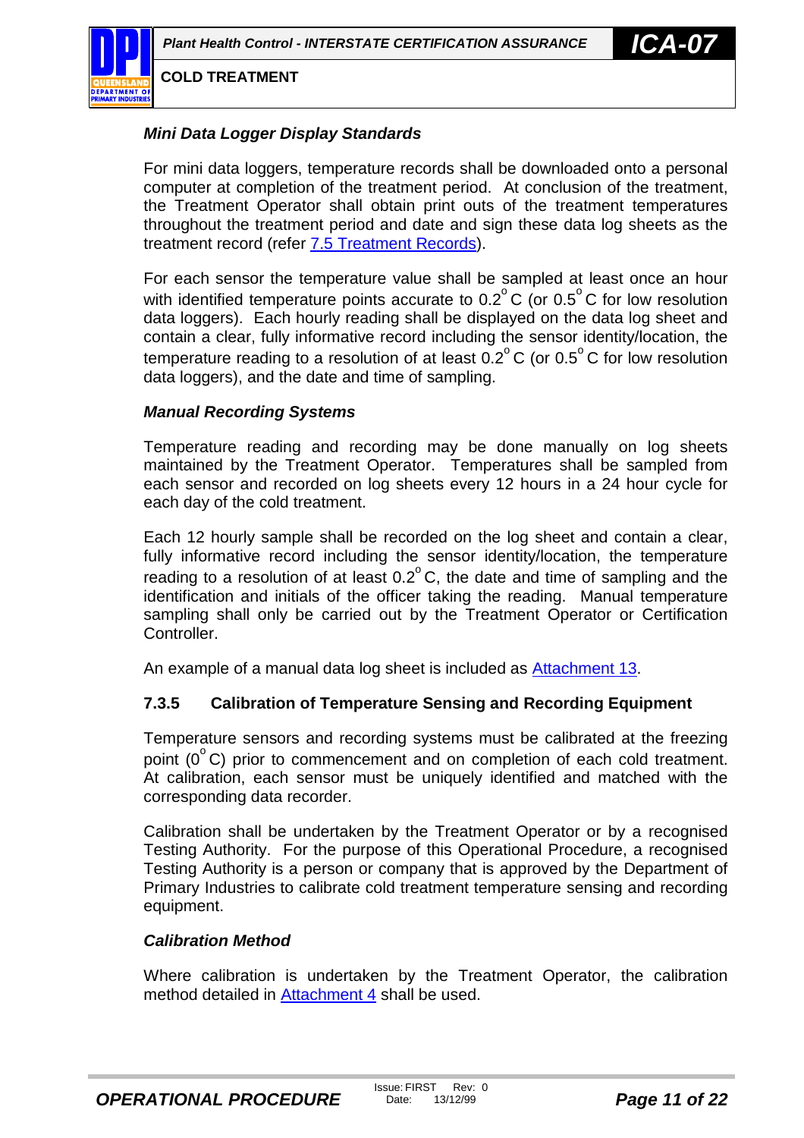<span id="page-10-0"></span>

#### *Mini Data Logger Display Standards*

For mini data loggers, temperature records shall be downloaded onto a personal computer at completion of the treatment period. At conclusion of the treatment, the Treatment Operator shall obtain print outs of the treatment temperatures throughout the treatment period and date and sign these data log sheets as the treatment record (refer [7.5 Treatment Records\)](#page-14-0).

For each sensor the temperature value shall be sampled at least once an hour with identified temperature points accurate to  $0.2^{\circ}$  C (or  $0.5^{\circ}$  C for low resolution data loggers). Each hourly reading shall be displayed on the data log sheet and contain a clear, fully informative record including the sensor identity/location, the temperature reading to a resolution of at least  $0.2^{\circ}$  C (or  $0.5^{\circ}$  C for low resolution data loggers), and the date and time of sampling.

#### *Manual Recording Systems*

Temperature reading and recording may be done manually on log sheets maintained by the Treatment Operator. Temperatures shall be sampled from each sensor and recorded on log sheets every 12 hours in a 24 hour cycle for each day of the cold treatment.

Each 12 hourly sample shall be recorded on the log sheet and contain a clear, fully informative record including the sensor identity/location, the temperature reading to a resolution of at least  $0.2^{\circ}$ C, the date and time of sampling and the identification and initials of the officer taking the reading. Manual temperature sampling shall only be carried out by the Treatment Operator or Certification Controller.

An example of a manual data log sheet is included as [Attachment 13.](#page-35-0)

#### **7.3.5 Calibration of Temperature Sensing and Recording Equipment**

Temperature sensors and recording systems must be calibrated at the freezing point  $(0^{\circ}$ C) prior to commencement and on completion of each cold treatment. At calibration, each sensor must be uniquely identified and matched with the corresponding data recorder.

Calibration shall be undertaken by the Treatment Operator or by a recognised Testing Authority. For the purpose of this Operational Procedure, a recognised Testing Authority is a person or company that is approved by the Department of Primary Industries to calibrate cold treatment temperature sensing and recording equipment.

#### *Calibration Method*

Where calibration is undertaken by the Treatment Operator, the calibration method detailed in [Attachment 4](#page-26-0) shall be used.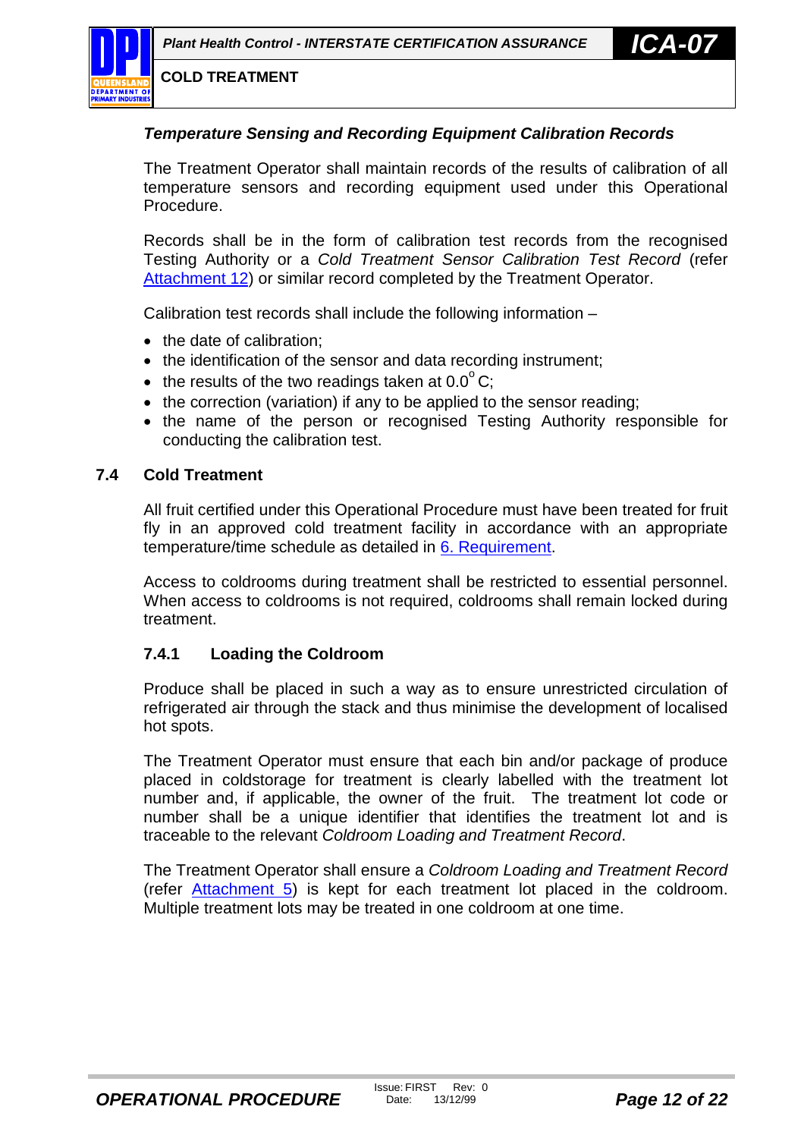<span id="page-11-0"></span>

#### *Temperature Sensing and Recording Equipment Calibration Records*

The Treatment Operator shall maintain records of the results of calibration of all temperature sensors and recording equipment used under this Operational Procedure.

Records shall be in the form of calibration test records from the recognised Testing Authority or a *Cold Treatment Sensor Calibration Test Record* (refer [Attachment 12\)](#page-34-0) or similar record completed by the Treatment Operator.

Calibration test records shall include the following information –

- the date of calibration:
- the identification of the sensor and data recording instrument;
- the results of the two readings taken at  $0.0^{\circ}$  C;
- the correction (variation) if any to be applied to the sensor reading;
- the name of the person or recognised Testing Authority responsible for conducting the calibration test.

#### **7.4 Cold Treatment**

All fruit certified under this Operational Procedure must have been treated for fruit fly in an approved cold treatment facility in accordance with an appropriate temperature/time schedule as detailed in [6. Requirement.](#page-5-0)

Access to coldrooms during treatment shall be restricted to essential personnel. When access to coldrooms is not required, coldrooms shall remain locked during treatment.

#### **7.4.1 Loading the Coldroom**

Produce shall be placed in such a way as to ensure unrestricted circulation of refrigerated air through the stack and thus minimise the development of localised hot spots.

The Treatment Operator must ensure that each bin and/or package of produce placed in coldstorage for treatment is clearly labelled with the treatment lot number and, if applicable, the owner of the fruit. The treatment lot code or number shall be a unique identifier that identifies the treatment lot and is traceable to the relevant *Coldroom Loading and Treatment Record*.

The Treatment Operator shall ensure a *Coldroom Loading and Treatment Record* (refer [Attachment 5\)](#page-27-0) is kept for each treatment lot placed in the coldroom. Multiple treatment lots may be treated in one coldroom at one time.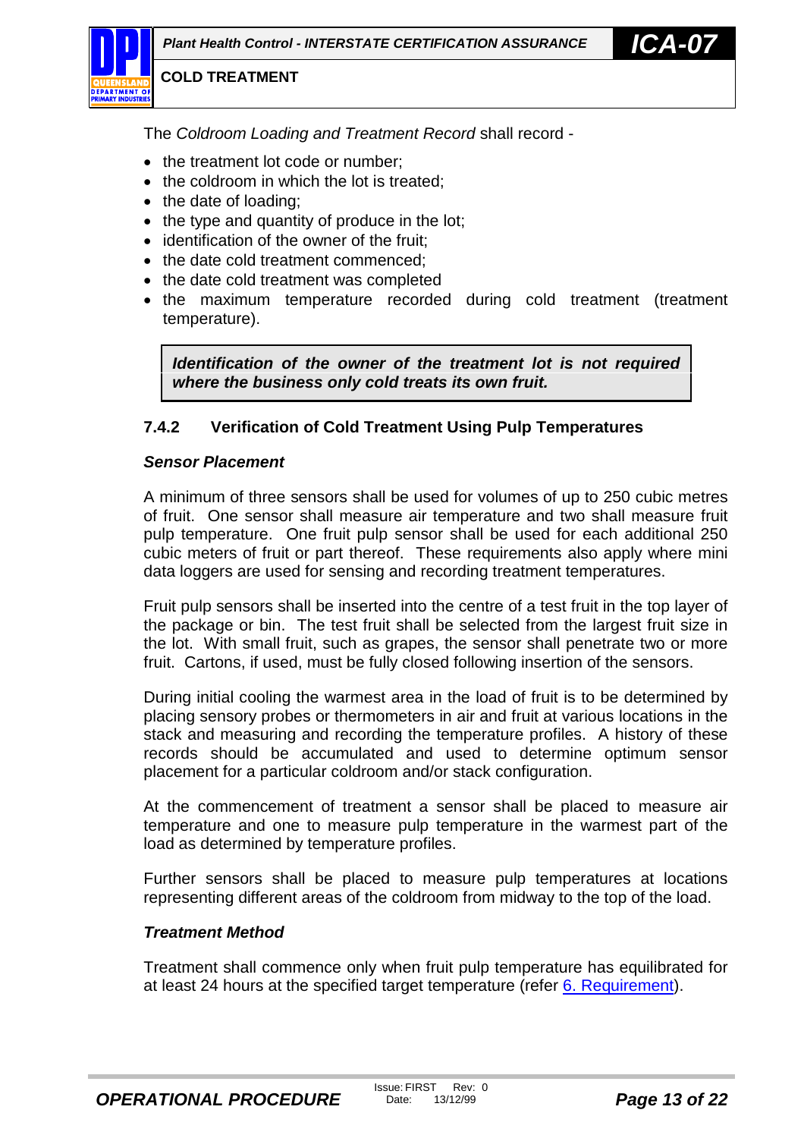<span id="page-12-0"></span>The *Coldroom Loading and Treatment Record* shall record -

- the treatment lot code or number;
- the coldroom in which the lot is treated;
- the date of loading:
- the type and quantity of produce in the lot;
- identification of the owner of the fruit;
- the date cold treatment commenced:
- the date cold treatment was completed
- the maximum temperature recorded during cold treatment (treatment temperature).

*Identification of the owner of the treatment lot is not required where the business only cold treats its own fruit.*

#### **7.4.2 Verification of Cold Treatment Using Pulp Temperatures**

#### *Sensor Placement*

A minimum of three sensors shall be used for volumes of up to 250 cubic metres of fruit. One sensor shall measure air temperature and two shall measure fruit pulp temperature. One fruit pulp sensor shall be used for each additional 250 cubic meters of fruit or part thereof. These requirements also apply where mini data loggers are used for sensing and recording treatment temperatures.

Fruit pulp sensors shall be inserted into the centre of a test fruit in the top layer of the package or bin. The test fruit shall be selected from the largest fruit size in the lot. With small fruit, such as grapes, the sensor shall penetrate two or more fruit. Cartons, if used, must be fully closed following insertion of the sensors.

During initial cooling the warmest area in the load of fruit is to be determined by placing sensory probes or thermometers in air and fruit at various locations in the stack and measuring and recording the temperature profiles. A history of these records should be accumulated and used to determine optimum sensor placement for a particular coldroom and/or stack configuration.

At the commencement of treatment a sensor shall be placed to measure air temperature and one to measure pulp temperature in the warmest part of the load as determined by temperature profiles.

Further sensors shall be placed to measure pulp temperatures at locations representing different areas of the coldroom from midway to the top of the load.

#### *Treatment Method*

Treatment shall commence only when fruit pulp temperature has equilibrated for at least 24 hours at the specified target temperature (refer [6. Requirement\)](#page-5-0).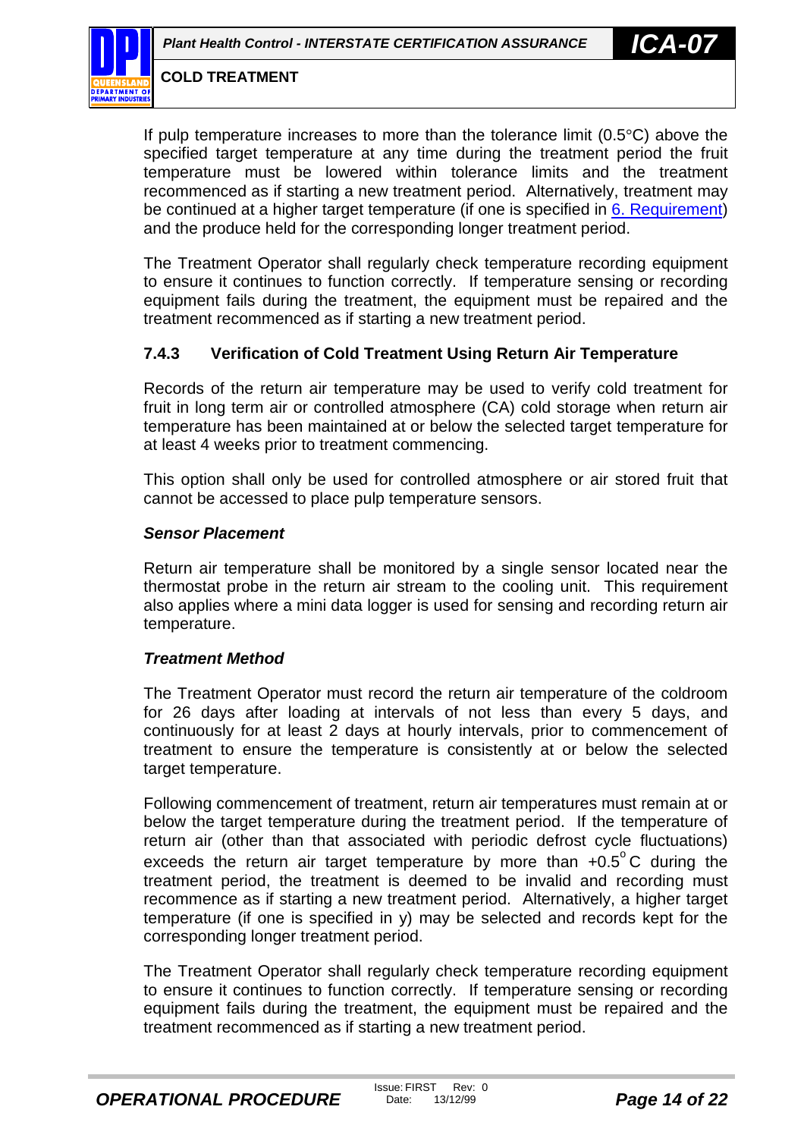<span id="page-13-0"></span>

If pulp temperature increases to more than the tolerance limit  $(0.5^{\circ}C)$  above the specified target temperature at any time during the treatment period the fruit temperature must be lowered within tolerance limits and the treatment recommenced as if starting a new treatment period. Alternatively, treatment may be continued at a higher target temperature (if one is specified in [6. Requirement\)](#page-5-0) and the produce held for the corresponding longer treatment period.

The Treatment Operator shall regularly check temperature recording equipment to ensure it continues to function correctly. If temperature sensing or recording equipment fails during the treatment, the equipment must be repaired and the treatment recommenced as if starting a new treatment period.

#### **7.4.3 Verification of Cold Treatment Using Return Air Temperature**

Records of the return air temperature may be used to verify cold treatment for fruit in long term air or controlled atmosphere (CA) cold storage when return air temperature has been maintained at or below the selected target temperature for at least 4 weeks prior to treatment commencing.

This option shall only be used for controlled atmosphere or air stored fruit that cannot be accessed to place pulp temperature sensors.

#### *Sensor Placement*

Return air temperature shall be monitored by a single sensor located near the thermostat probe in the return air stream to the cooling unit. This requirement also applies where a mini data logger is used for sensing and recording return air temperature.

#### *Treatment Method*

The Treatment Operator must record the return air temperature of the coldroom for 26 days after loading at intervals of not less than every 5 days, and continuously for at least 2 days at hourly intervals, prior to commencement of treatment to ensure the temperature is consistently at or below the selected target temperature.

Following commencement of treatment, return air temperatures must remain at or below the target temperature during the treatment period. If the temperature of return air (other than that associated with periodic defrost cycle fluctuations) exceeds the return air target temperature by more than  $+0.5^{\circ}$ C during the treatment period, the treatment is deemed to be invalid and recording must recommence as if starting a new treatment period. Alternatively, a higher target temperature (if one is specified in y) may be selected and records kept for the corresponding longer treatment period.

The Treatment Operator shall regularly check temperature recording equipment to ensure it continues to function correctly. If temperature sensing or recording equipment fails during the treatment, the equipment must be repaired and the treatment recommenced as if starting a new treatment period.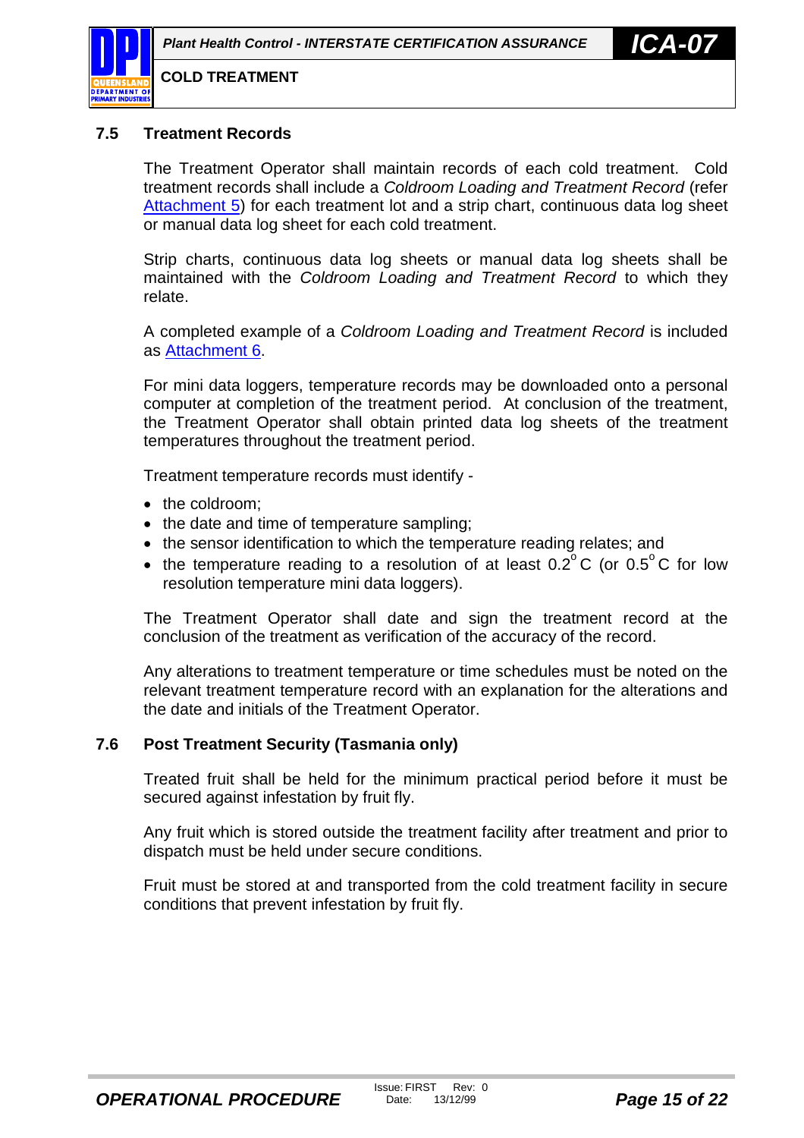<span id="page-14-0"></span>

#### **7.5 Treatment Records**

The Treatment Operator shall maintain records of each cold treatment. Cold treatment records shall include a *Coldroom Loading and Treatment Record* (refer [Attachment 5\)](#page-27-0) for each treatment lot and a strip chart, continuous data log sheet or manual data log sheet for each cold treatment.

Strip charts, continuous data log sheets or manual data log sheets shall be maintained with the *Coldroom Loading and Treatment Record* to which they relate.

A completed example of a *Coldroom Loading and Treatment Record* is included as [Attachment 6.](#page-28-0)

For mini data loggers, temperature records may be downloaded onto a personal computer at completion of the treatment period. At conclusion of the treatment, the Treatment Operator shall obtain printed data log sheets of the treatment temperatures throughout the treatment period.

Treatment temperature records must identify -

- the coldroom:
- the date and time of temperature sampling;
- the sensor identification to which the temperature reading relates; and
- the temperature reading to a resolution of at least  $0.2^{\circ}$ C (or  $0.5^{\circ}$ C for low resolution temperature mini data loggers).

The Treatment Operator shall date and sign the treatment record at the conclusion of the treatment as verification of the accuracy of the record.

Any alterations to treatment temperature or time schedules must be noted on the relevant treatment temperature record with an explanation for the alterations and the date and initials of the Treatment Operator.

#### **7.6 Post Treatment Security (Tasmania only)**

Treated fruit shall be held for the minimum practical period before it must be secured against infestation by fruit fly.

Any fruit which is stored outside the treatment facility after treatment and prior to dispatch must be held under secure conditions.

Fruit must be stored at and transported from the cold treatment facility in secure conditions that prevent infestation by fruit fly.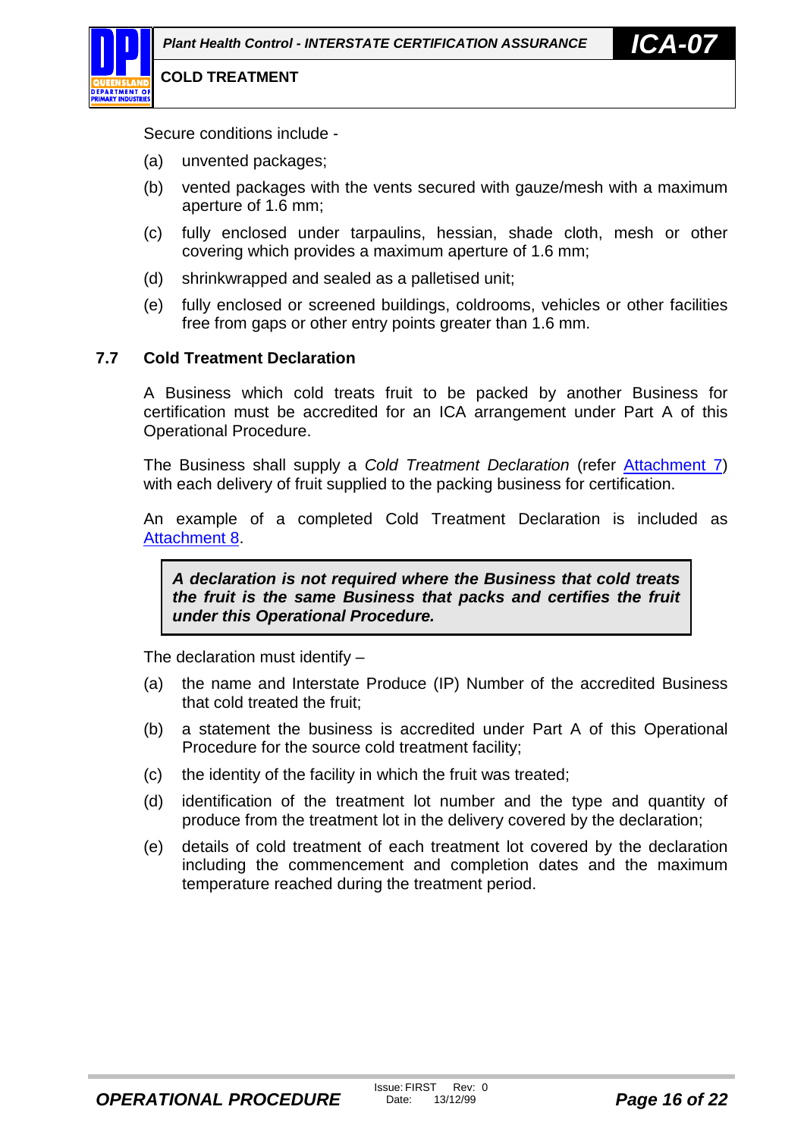<span id="page-15-0"></span>

Secure conditions include -

- (a) unvented packages;
- (b) vented packages with the vents secured with gauze/mesh with a maximum aperture of 1.6 mm;
- (c) fully enclosed under tarpaulins, hessian, shade cloth, mesh or other covering which provides a maximum aperture of 1.6 mm;
- (d) shrinkwrapped and sealed as a palletised unit;
- (e) fully enclosed or screened buildings, coldrooms, vehicles or other facilities free from gaps or other entry points greater than 1.6 mm.

#### **7.7 Cold Treatment Declaration**

A Business which cold treats fruit to be packed by another Business for certification must be accredited for an ICA arrangement under Part A of this Operational Procedure.

The Business shall supply a *Cold Treatment Declaration* (refer [Attachment 7\)](#page-29-0) with each delivery of fruit supplied to the packing business for certification.

An example of a completed Cold Treatment Declaration is included as [Attachment 8.](#page-30-0)

*A declaration is not required where the Business that cold treats the fruit is the same Business that packs and certifies the fruit under this Operational Procedure.*

The declaration must identify –

- (a) the name and Interstate Produce (IP) Number of the accredited Business that cold treated the fruit;
- (b) a statement the business is accredited under Part A of this Operational Procedure for the source cold treatment facility;
- (c) the identity of the facility in which the fruit was treated;
- (d) identification of the treatment lot number and the type and quantity of produce from the treatment lot in the delivery covered by the declaration;
- (e) details of cold treatment of each treatment lot covered by the declaration including the commencement and completion dates and the maximum temperature reached during the treatment period.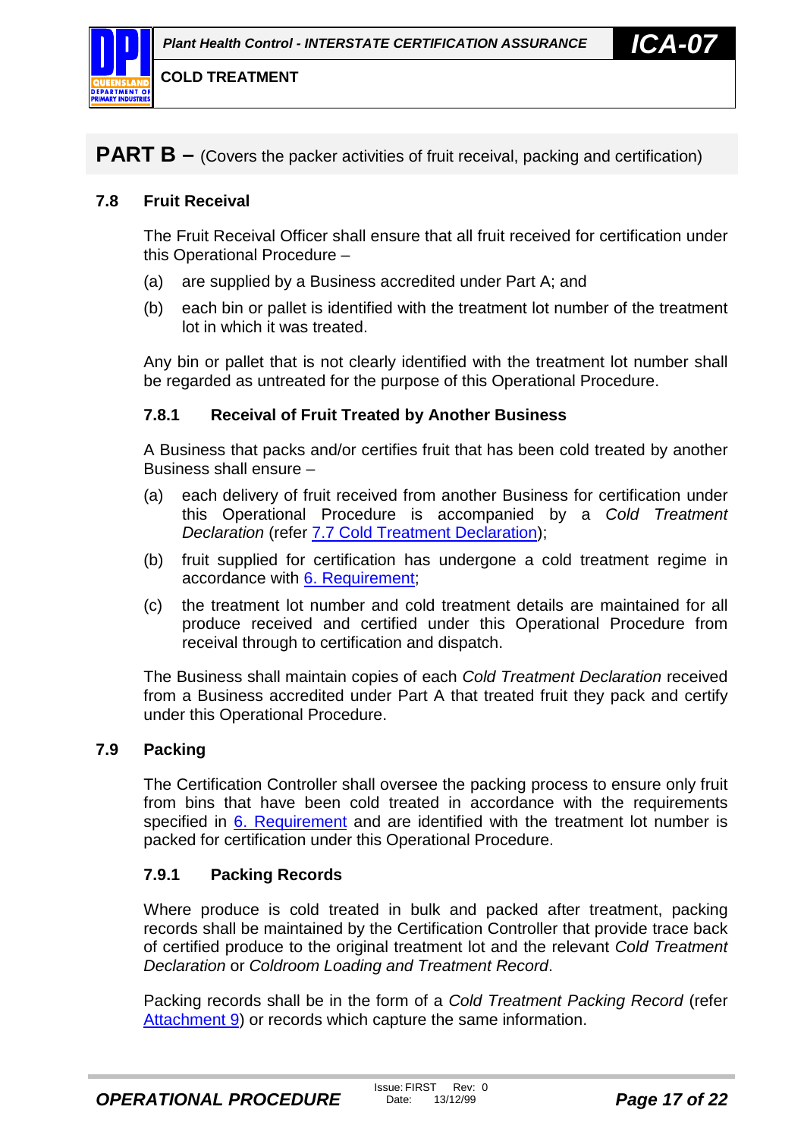<span id="page-16-0"></span>

**PART B** – (Covers the packer activities of fruit receival, packing and certification)

#### **7.8 Fruit Receival**

The Fruit Receival Officer shall ensure that all fruit received for certification under this Operational Procedure –

- (a) are supplied by a Business accredited under Part A; and
- (b) each bin or pallet is identified with the treatment lot number of the treatment lot in which it was treated.

Any bin or pallet that is not clearly identified with the treatment lot number shall be regarded as untreated for the purpose of this Operational Procedure.

#### **7.8.1 Receival of Fruit Treated by Another Business**

A Business that packs and/or certifies fruit that has been cold treated by another Business shall ensure –

- (a) each delivery of fruit received from another Business for certification under this Operational Procedure is accompanied by a *Cold Treatment Declaration* (refer [7.7 Cold Treatment Declaration\)](#page-15-0);
- (b) fruit supplied for certification has undergone a cold treatment regime in accordance with [6. Requirement;](#page-5-0)
- (c) the treatment lot number and cold treatment details are maintained for all produce received and certified under this Operational Procedure from receival through to certification and dispatch.

The Business shall maintain copies of each *Cold Treatment Declaration* received from a Business accredited under Part A that treated fruit they pack and certify under this Operational Procedure.

#### **7.9 Packing**

The Certification Controller shall oversee the packing process to ensure only fruit from bins that have been cold treated in accordance with the requirements specified in [6. Requirement](#page-5-0) and are identified with the treatment lot number is packed for certification under this Operational Procedure.

#### **7.9.1 Packing Records**

Where produce is cold treated in bulk and packed after treatment, packing records shall be maintained by the Certification Controller that provide trace back of certified produce to the original treatment lot and the relevant *Cold Treatment Declaration* or *Coldroom Loading and Treatment Record*.

Packing records shall be in the form of a *Cold Treatment Packing Record* (refer [Attachment 9\)](#page-31-0) or records which capture the same information.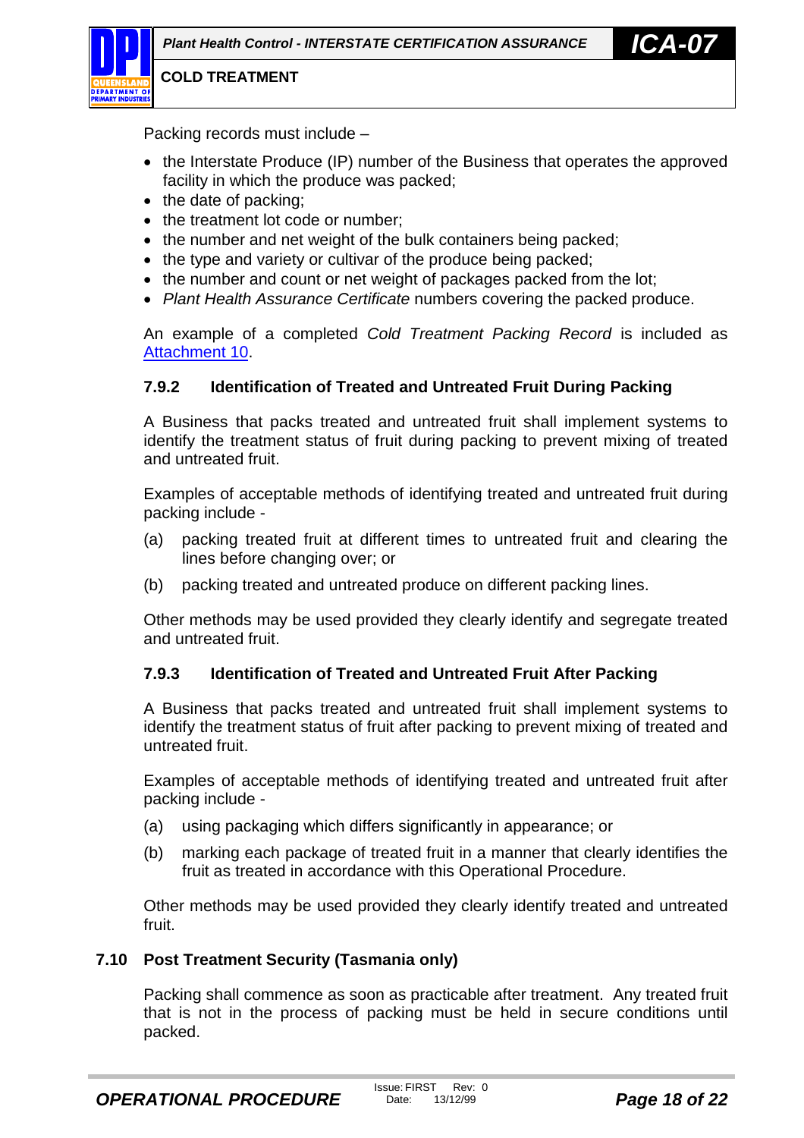<span id="page-17-0"></span>

Packing records must include –

- the Interstate Produce (IP) number of the Business that operates the approved facility in which the produce was packed;
- $\bullet$  the date of packing;
- the treatment lot code or number:
- the number and net weight of the bulk containers being packed;
- the type and variety or cultivar of the produce being packed;
- the number and count or net weight of packages packed from the lot;
- *Plant Health Assurance Certificate* numbers covering the packed produce.

An example of a completed *Cold Treatment Packing Record* is included as [Attachment 10.](#page-32-0)

#### **7.9.2 Identification of Treated and Untreated Fruit During Packing**

A Business that packs treated and untreated fruit shall implement systems to identify the treatment status of fruit during packing to prevent mixing of treated and untreated fruit.

Examples of acceptable methods of identifying treated and untreated fruit during packing include -

- (a) packing treated fruit at different times to untreated fruit and clearing the lines before changing over; or
- (b) packing treated and untreated produce on different packing lines.

Other methods may be used provided they clearly identify and segregate treated and untreated fruit.

#### **7.9.3 Identification of Treated and Untreated Fruit After Packing**

A Business that packs treated and untreated fruit shall implement systems to identify the treatment status of fruit after packing to prevent mixing of treated and untreated fruit.

Examples of acceptable methods of identifying treated and untreated fruit after packing include -

- (a) using packaging which differs significantly in appearance; or
- (b) marking each package of treated fruit in a manner that clearly identifies the fruit as treated in accordance with this Operational Procedure.

Other methods may be used provided they clearly identify treated and untreated fruit.

#### **7.10 Post Treatment Security (Tasmania only)**

Packing shall commence as soon as practicable after treatment. Any treated fruit that is not in the process of packing must be held in secure conditions until packed.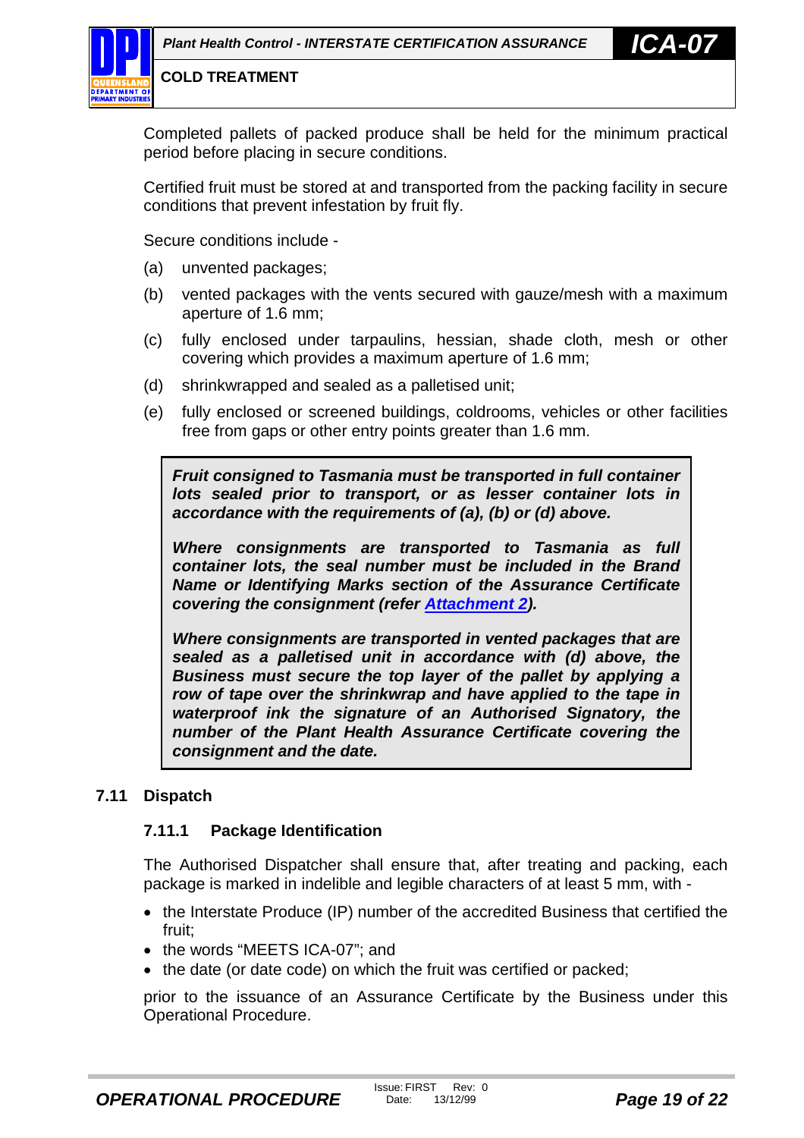<span id="page-18-0"></span>Completed pallets of packed produce shall be held for the minimum practical period before placing in secure conditions.

Certified fruit must be stored at and transported from the packing facility in secure conditions that prevent infestation by fruit fly.

Secure conditions include -

- (a) unvented packages;
- (b) vented packages with the vents secured with gauze/mesh with a maximum aperture of 1.6 mm;
- (c) fully enclosed under tarpaulins, hessian, shade cloth, mesh or other covering which provides a maximum aperture of 1.6 mm;
- (d) shrinkwrapped and sealed as a palletised unit;
- (e) fully enclosed or screened buildings, coldrooms, vehicles or other facilities free from gaps or other entry points greater than 1.6 mm.

*Fruit consigned to Tasmania must be transported in full container lots sealed prior to transport, or as lesser container lots in accordance with the requirements of (a), (b) or (d) above.*

*Where consignments are transported to Tasmania as full container lots, the seal number must be included in the Brand Name or Identifying Marks section of the Assurance Certificate covering the consignment (refer [Attachment 2\)](#page-23-0).*

*Where consignments are transported in vented packages that are sealed as a palletised unit in accordance with (d) above, the Business must secure the top layer of the pallet by applying a row of tape over the shrinkwrap and have applied to the tape in waterproof ink the signature of an Authorised Signatory, the number of the Plant Health Assurance Certificate covering the consignment and the date.*

#### **7.11 Dispatch**

#### **7.11.1 Package Identification**

The Authorised Dispatcher shall ensure that, after treating and packing, each package is marked in indelible and legible characters of at least 5 mm, with -

- the Interstate Produce (IP) number of the accredited Business that certified the fruit;
- the words "MEETS ICA-07"; and
- the date (or date code) on which the fruit was certified or packed;

prior to the issuance of an Assurance Certificate by the Business under this Operational Procedure.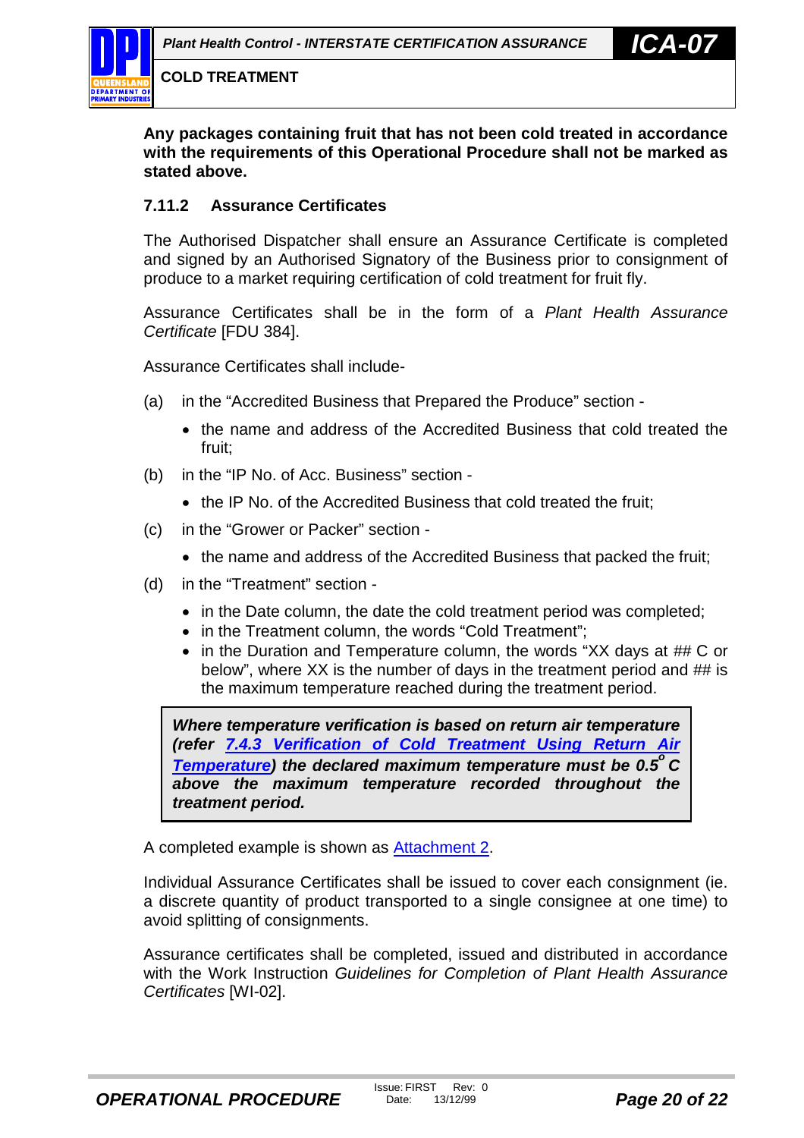<span id="page-19-0"></span>**Any packages containing fruit that has not been cold treated in accordance with the requirements of this Operational Procedure shall not be marked as stated above.**

#### **7.11.2 Assurance Certificates**

The Authorised Dispatcher shall ensure an Assurance Certificate is completed and signed by an Authorised Signatory of the Business prior to consignment of produce to a market requiring certification of cold treatment for fruit fly.

Assurance Certificates shall be in the form of a *Plant Health Assurance Certificate* [FDU 384].

Assurance Certificates shall include-

- (a) in the "Accredited Business that Prepared the Produce" section
	- the name and address of the Accredited Business that cold treated the fruit;
- (b) in the "IP No. of Acc. Business" section
	- the IP No. of the Accredited Business that cold treated the fruit:
- (c) in the "Grower or Packer" section
	- the name and address of the Accredited Business that packed the fruit:
- (d) in the "Treatment" section
	- in the Date column, the date the cold treatment period was completed;
	- in the Treatment column, the words "Cold Treatment";
	- in the Duration and Temperature column, the words "XX days at ## C or below", where XX is the number of days in the treatment period and ## is the maximum temperature reached during the treatment period.

*Where temperature verification is based on return air temperature (refer [7.4.3 Verification of Cold Treatment Using Return Air](#page-13-0) [Temperature\)](#page-13-0)* the declared maximum temperature must be 0.5<sup>o</sup> C *above the maximum temperature recorded throughout the treatment period.*

A completed example is shown as [Attachment 2.](#page-23-0)

Individual Assurance Certificates shall be issued to cover each consignment (ie. a discrete quantity of product transported to a single consignee at one time) to avoid splitting of consignments.

Assurance certificates shall be completed, issued and distributed in accordance with the Work Instruction *Guidelines for Completion of Plant Health Assurance Certificates* [WI-02].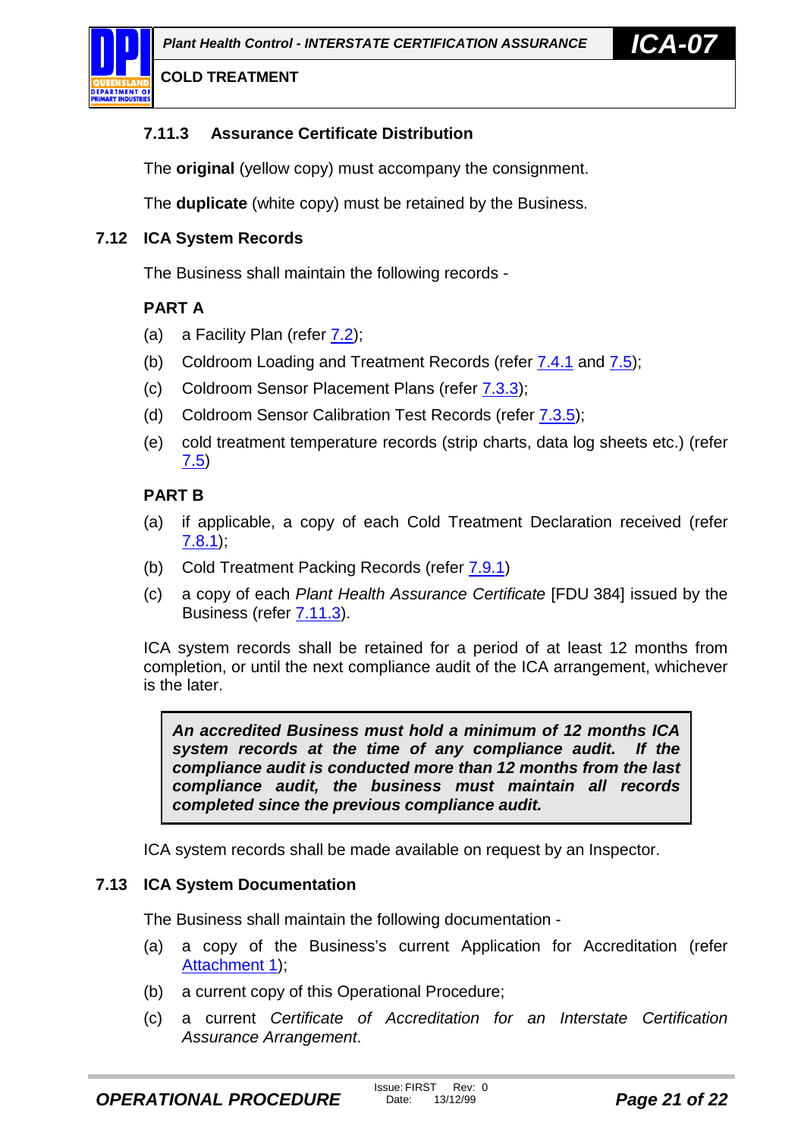<span id="page-20-0"></span>

### **7.11.3 Assurance Certificate Distribution**

The **original** (yellow copy) must accompany the consignment.

The **duplicate** (white copy) must be retained by the Business.

#### **7.12 ICA System Records**

The Business shall maintain the following records -

#### **PART A**

- (a) a Facility Plan (refer [7.2\)](#page-8-0);
- (b) Coldroom Loading and Treatment Records (refer [7.4.1](#page-11-0) and [7.5\)](#page-14-0);
- (c) Coldroom Sensor Placement Plans (refer [7.3.3\)](#page-9-0);
- (d) Coldroom Sensor Calibration Test Records (refer [7.3.5\)](#page-10-0);
- (e) cold treatment temperature records (strip charts, data log sheets etc.) (refer [7.5\)](#page-14-0)

#### **PART B**

- (a) if applicable, a copy of each Cold Treatment Declaration received (refer [7.8.1\)](#page-16-0);
- (b) Cold Treatment Packing Records (refer [7.9.1\)](#page-16-0)
- (c) a copy of each *Plant Health Assurance Certificate* [FDU 384] issued by the Business (refer 7.11.3).

ICA system records shall be retained for a period of at least 12 months from completion, or until the next compliance audit of the ICA arrangement, whichever is the later.

*An accredited Business must hold a minimum of 12 months ICA system records at the time of any compliance audit. If the compliance audit is conducted more than 12 months from the last compliance audit, the business must maintain all records completed since the previous compliance audit.*

ICA system records shall be made available on request by an Inspector.

#### **7.13 ICA System Documentation**

The Business shall maintain the following documentation -

- (a) a copy of the Business's current Application for Accreditation (refer [Attachment 1\)](#page-22-0);
- (b) a current copy of this Operational Procedure;
- (c) a current *Certificate of Accreditation for an Interstate Certification Assurance Arrangement*.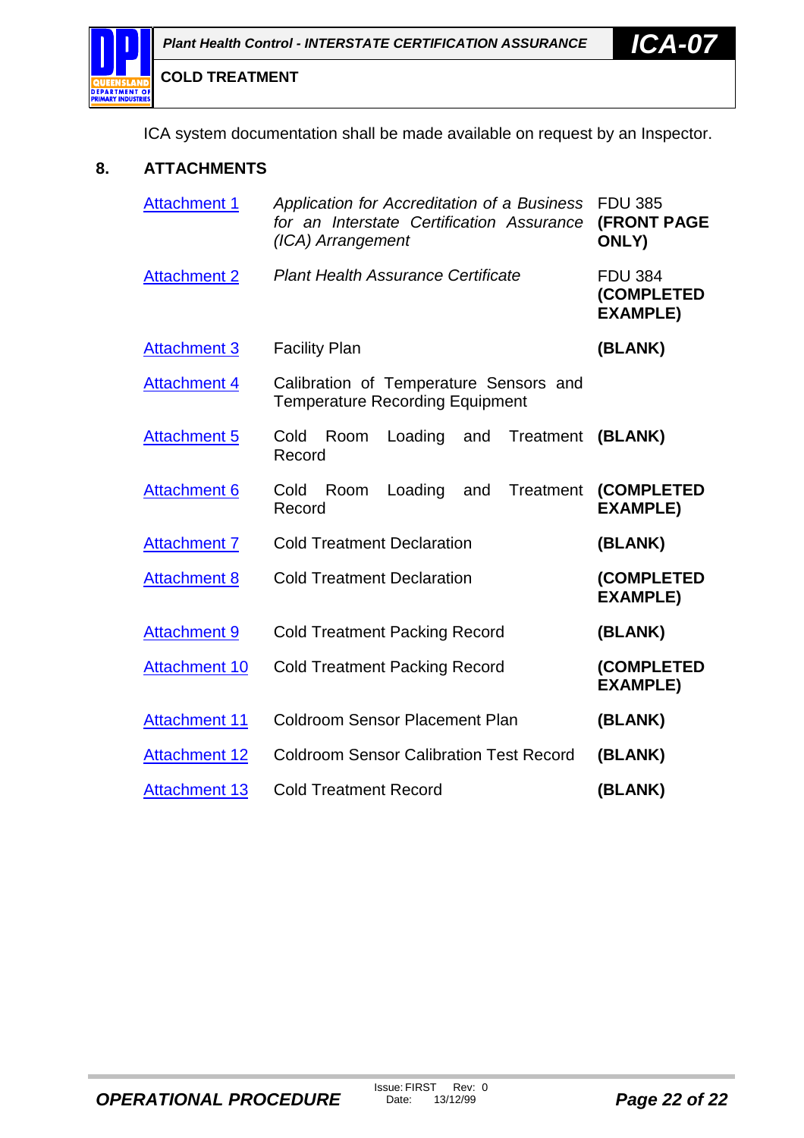<span id="page-21-0"></span>

ICA system documentation shall be made available on request by an Inspector.

#### **8. ATTACHMENTS**

| <b>Attachment 1</b>  | Application for Accreditation of a Business<br>for an Interstate Certification Assurance<br>(ICA) Arrangement | <b>FDU 385</b><br><b>(FRONT PAGE</b><br><b>ONLY)</b> |
|----------------------|---------------------------------------------------------------------------------------------------------------|------------------------------------------------------|
| <b>Attachment 2</b>  | <b>Plant Health Assurance Certificate</b>                                                                     | <b>FDU 384</b><br>(COMPLETED<br><b>EXAMPLE)</b>      |
| <b>Attachment 3</b>  | <b>Facility Plan</b>                                                                                          | (BLANK)                                              |
| <b>Attachment 4</b>  | Calibration of Temperature Sensors and<br><b>Temperature Recording Equipment</b>                              |                                                      |
| <b>Attachment 5</b>  | Loading<br>Treatment<br>Cold<br>Room<br>and<br>Record                                                         | (BLANK)                                              |
| <b>Attachment 6</b>  | Loading<br><b>Treatment</b><br>Cold<br>Room<br>and<br>Record                                                  | (COMPLETED<br><b>EXAMPLE)</b>                        |
| <b>Attachment 7</b>  | <b>Cold Treatment Declaration</b>                                                                             | (BLANK)                                              |
| <b>Attachment 8</b>  | <b>Cold Treatment Declaration</b>                                                                             | (COMPLETED<br><b>EXAMPLE)</b>                        |
| <b>Attachment 9</b>  | <b>Cold Treatment Packing Record</b>                                                                          | (BLANK)                                              |
| <b>Attachment 10</b> | <b>Cold Treatment Packing Record</b>                                                                          | (COMPLETED<br><b>EXAMPLE)</b>                        |
| <b>Attachment 11</b> | <b>Coldroom Sensor Placement Plan</b>                                                                         | (BLANK)                                              |
| <b>Attachment 12</b> | <b>Coldroom Sensor Calibration Test Record</b>                                                                | (BLANK)                                              |
| <b>Attachment 13</b> | <b>Cold Treatment Record</b>                                                                                  | (BLANK)                                              |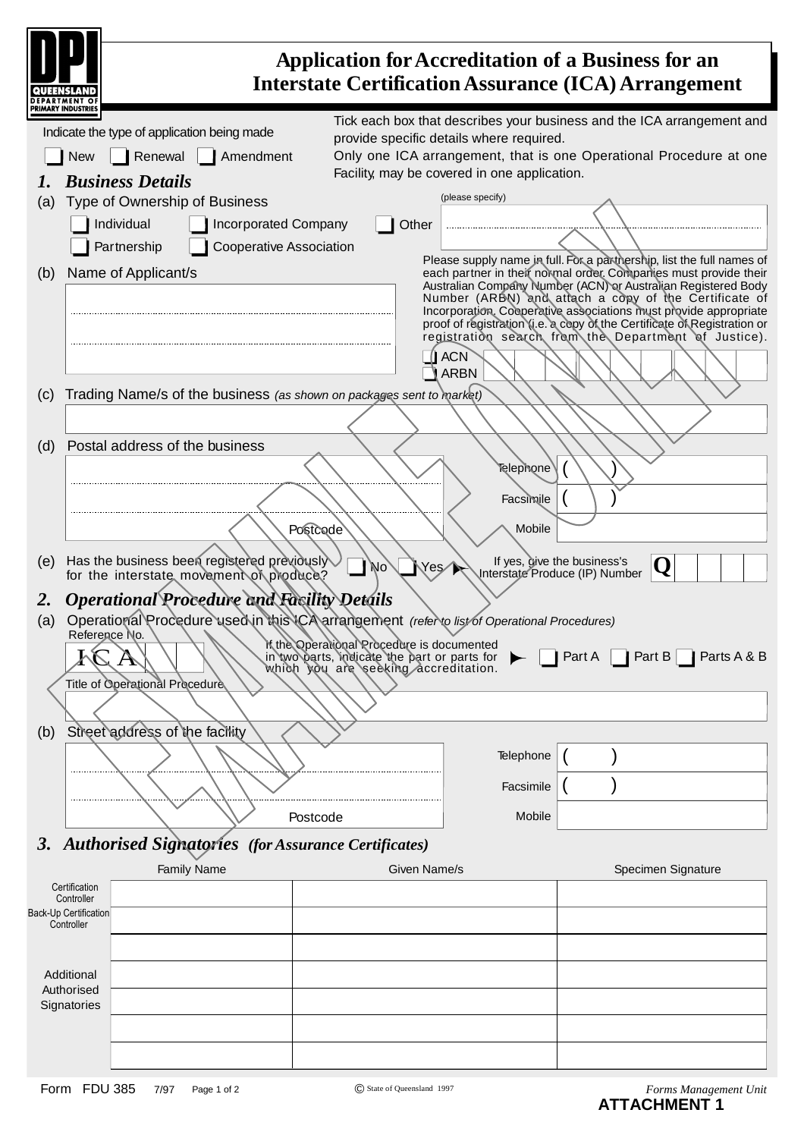<span id="page-22-0"></span>

|                                                          |                                                                                                                                                                                                                                             |                                                                                                                                    |                                                                                                              | Application for Accreditation of a Business for an<br><b>Interstate Certification Assurance (ICA) Arrangement</b>                                                                                                                                                                                                                                                                                                                                                           |
|----------------------------------------------------------|---------------------------------------------------------------------------------------------------------------------------------------------------------------------------------------------------------------------------------------------|------------------------------------------------------------------------------------------------------------------------------------|--------------------------------------------------------------------------------------------------------------|-----------------------------------------------------------------------------------------------------------------------------------------------------------------------------------------------------------------------------------------------------------------------------------------------------------------------------------------------------------------------------------------------------------------------------------------------------------------------------|
| (a)                                                      | Indicate the type of application being made<br>Renewal<br>Amendment<br><b>New</b><br><b>Business Details</b><br>Type of Ownership of Business<br>Individual<br><b>Incorporated Company</b><br><b>Cooperative Association</b><br>Partnership | Other                                                                                                                              | provide specific details where required.<br>Facility, may be covered in one application.<br>(please specify) | Tick each box that describes your business and the ICA arrangement and<br>Only one ICA arrangement, that is one Operational Procedure at one                                                                                                                                                                                                                                                                                                                                |
| (b)                                                      | Name of Applicant/s                                                                                                                                                                                                                         |                                                                                                                                    | <b>ACN</b><br><b>ARBN</b>                                                                                    | Please supply name in full. For a parthership, list the full names of<br>each partner in their normal order. Companies must provide their<br>Australian Company Number (ACN) or Australian Registered Body<br>Number (ARBN) and attach a copy of the Certificate of<br>Incorporation. Cooperative associations must provide appropriate<br>proof of registration (i.e. a copy of the Certificate of Registration or<br>registration search from the Department of Justice). |
| (c)                                                      | Trading Name/s of the business (as shown on packages sent to market)                                                                                                                                                                        |                                                                                                                                    |                                                                                                              |                                                                                                                                                                                                                                                                                                                                                                                                                                                                             |
| (d)                                                      | Postal address of the business<br>Postcode                                                                                                                                                                                                  |                                                                                                                                    | Telephone<br>Facsimile<br>Mobile                                                                             |                                                                                                                                                                                                                                                                                                                                                                                                                                                                             |
| (e)                                                      | Has the business been registered previously<br>for the interstate movement of produce?                                                                                                                                                      | Yes<br>No                                                                                                                          |                                                                                                              | If yes, give the business's<br>Ų<br>Interstate Produce (IP) Number                                                                                                                                                                                                                                                                                                                                                                                                          |
| <b>2.</b><br>(a)<br>(b)                                  | <b>Operational Procedure and Facility Details</b><br>Operational Procedure used in this ICA arrangement (refer to list of Operational Procedures)<br>Reference No.<br>A<br>Title of Operational Procedure<br>Street address of the facility | If the Operational Procedure is documented<br>in two parts, indicate the part or parts for<br>which you are seeking accreditation. |                                                                                                              | $\mid$ Part A $\mid$<br>  Part B   $\parallel$ Parts A & B                                                                                                                                                                                                                                                                                                                                                                                                                  |
|                                                          |                                                                                                                                                                                                                                             |                                                                                                                                    | Telephone                                                                                                    |                                                                                                                                                                                                                                                                                                                                                                                                                                                                             |
|                                                          | Postcode                                                                                                                                                                                                                                    |                                                                                                                                    | Facsimile<br>Mobile                                                                                          |                                                                                                                                                                                                                                                                                                                                                                                                                                                                             |
|                                                          | 3. Authorised Signatories (for Assurance Certificates)                                                                                                                                                                                      |                                                                                                                                    |                                                                                                              |                                                                                                                                                                                                                                                                                                                                                                                                                                                                             |
| Certification                                            | <b>Family Name</b>                                                                                                                                                                                                                          | Given Name/s                                                                                                                       |                                                                                                              | Specimen Signature                                                                                                                                                                                                                                                                                                                                                                                                                                                          |
| Controller<br><b>Back-Up Certification</b><br>Controller |                                                                                                                                                                                                                                             |                                                                                                                                    |                                                                                                              |                                                                                                                                                                                                                                                                                                                                                                                                                                                                             |
| Additional<br>Authorised<br>Signatories                  |                                                                                                                                                                                                                                             |                                                                                                                                    |                                                                                                              |                                                                                                                                                                                                                                                                                                                                                                                                                                                                             |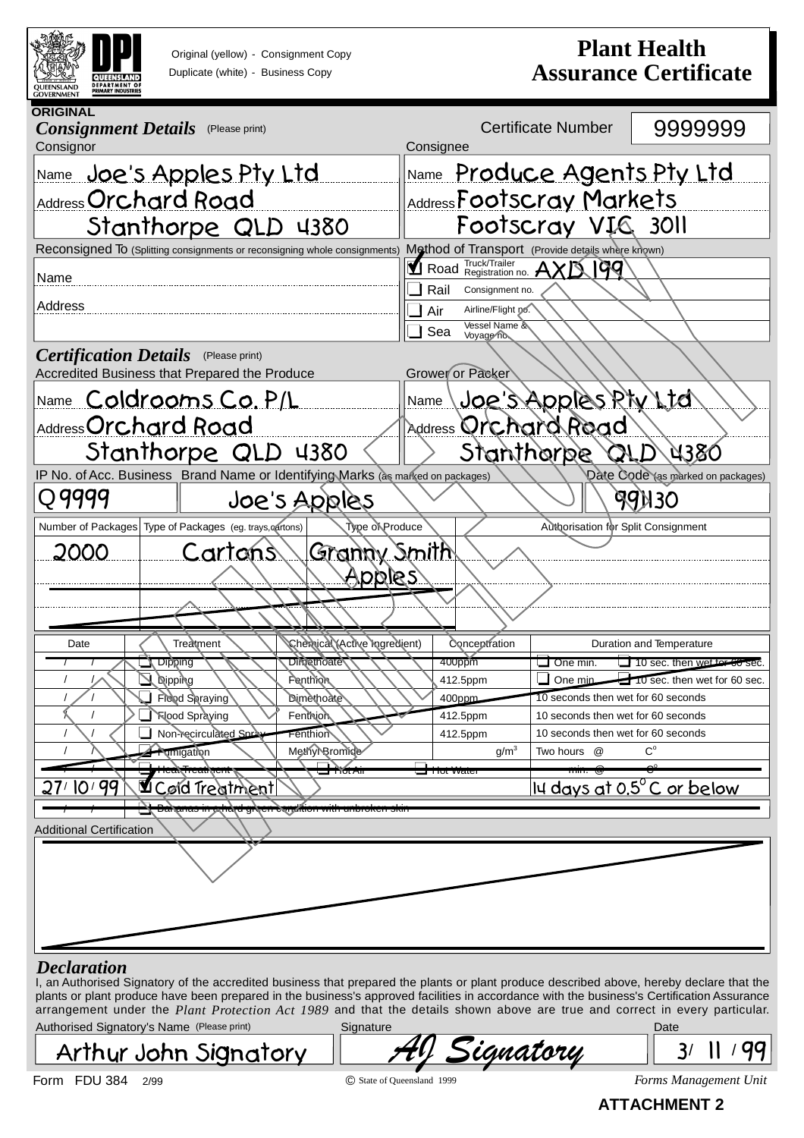<span id="page-23-0"></span>

Original (yellow) - Consignment Copy Duplicate (white) - Business Copy

# **Plant Health Assurance Certificate**

| <b>ORIGINAL</b><br><b>Consignment Details</b><br>(Please print)<br>Consignor    | 9999999<br><b>Certificate Number</b><br>Consignee                                                 |  |  |
|---------------------------------------------------------------------------------|---------------------------------------------------------------------------------------------------|--|--|
| Name Joe's Apples Pty Ltd                                                       | Name Produce Agents Pty Ltd                                                                       |  |  |
| Address Orchard Road                                                            | Address Footscray Markets                                                                         |  |  |
| Stanthorpe QLD 4380                                                             | Footscray VIG 3011                                                                                |  |  |
| Reconsigned To (Splitting consignments or reconsigning whole consignments)      | Method of Transport (Provide details where known)                                                 |  |  |
| Name                                                                            | Road Truck/Trailer<br>Road Registration no. AXD<br>୲ଡ଼ଡ଼                                          |  |  |
| Address                                                                         | Rail<br>Consignment no.                                                                           |  |  |
|                                                                                 | Airline/Flight no.<br>Air<br>Vessel Name &<br>Sea                                                 |  |  |
| <b>Certification Details</b> (Please print)                                     | Voyage no.                                                                                        |  |  |
| Accredited Business that Prepared the Produce                                   | Grower or Packer                                                                                  |  |  |
| <u>Name Coldrooms Co. P/L</u>                                                   | Joe's Apples Ptv Ltd<br>Name                                                                      |  |  |
| <b>Address Orchard Road</b>                                                     | Address Orchard Road                                                                              |  |  |
| Stanthorpe QLD 4380                                                             | QLD 4380<br>Stanthorbe                                                                            |  |  |
| IP No. of Acc. Business Brand Name or Identifying Marks (as marked on packages) | Date Code (as marked on packages)                                                                 |  |  |
| Q 9999<br>Joe's Apples                                                          | <b>AGN30</b>                                                                                      |  |  |
| Type of Produce<br>Number of Packages Type of Packages (eg. trays, cartons)     | <b>Authorisation for Split Consignment</b>                                                        |  |  |
| Granny Smith<br>2000<br>Cartons<br><u>Apples</u>                                |                                                                                                   |  |  |
| Chervical (Active Ingredient)<br>Date<br>Treatment                              | Conceptration<br>Duration and Temperature                                                         |  |  |
| <b>Dimetridate</b><br>Dibbing                                                   | 400ppm<br>10 sec. then wet tor 60 sec.<br>$\Box$ One min.                                         |  |  |
| <b>Nipping</b><br><b>Fenthlon</b>                                               | 412.5ppm<br>One min<br>10 sec. then wet for 60 sec.                                               |  |  |
| Flood Spraying<br><b>Dimèthoate</b><br><b>Nood Spraying</b><br>Fenthion         | 10 seconds then wet for 60 seconds<br>$400$ ppm<br>412.5ppm<br>10 seconds then wet for 60 seconds |  |  |
| Non-recirculated Spray<br>Fenthion                                              | 412.5ppm<br>10 seconds then wet for 60 seconds                                                    |  |  |
| Methyl Bromide<br><b>Tumigation</b>                                             | $C^{\circ}$<br>g/m <sup>3</sup><br>Two hours @                                                    |  |  |
|                                                                                 | ⊒ ⊤π∪ι vvaιc                                                                                      |  |  |
| 27/10/99<br>Lord Treatment                                                      | III days at 0.5 $^{\circ}$ C or below                                                             |  |  |
| iatu direcii contanuni mini minioveni svii                                      |                                                                                                   |  |  |
| <b>Additional Certification</b>                                                 |                                                                                                   |  |  |
|                                                                                 |                                                                                                   |  |  |
|                                                                                 |                                                                                                   |  |  |
|                                                                                 |                                                                                                   |  |  |
|                                                                                 |                                                                                                   |  |  |

I, an Authorised Signatory of the accredited business that prepared the plants or plant produce described above, hereby declare that the plants or plant produce have been prepared in the business's approved facilities in accordance with the business's Certification Assurance arrangement under the *Plant Protection Act 1989* and that the details shown above are true and correct in every particular. Authorised Signatory's Name (Please print) Signature Signature Date Date

Arthur John Signatory

| 1. U I V | 'II<br>'UM. |  |
|----------|-------------|--|
|          |             |  |

3/ 11/99

Form FDU 384 2/99 *Forms Management Unit*

© State of Queensland 1999

**ATTACHMENT 2**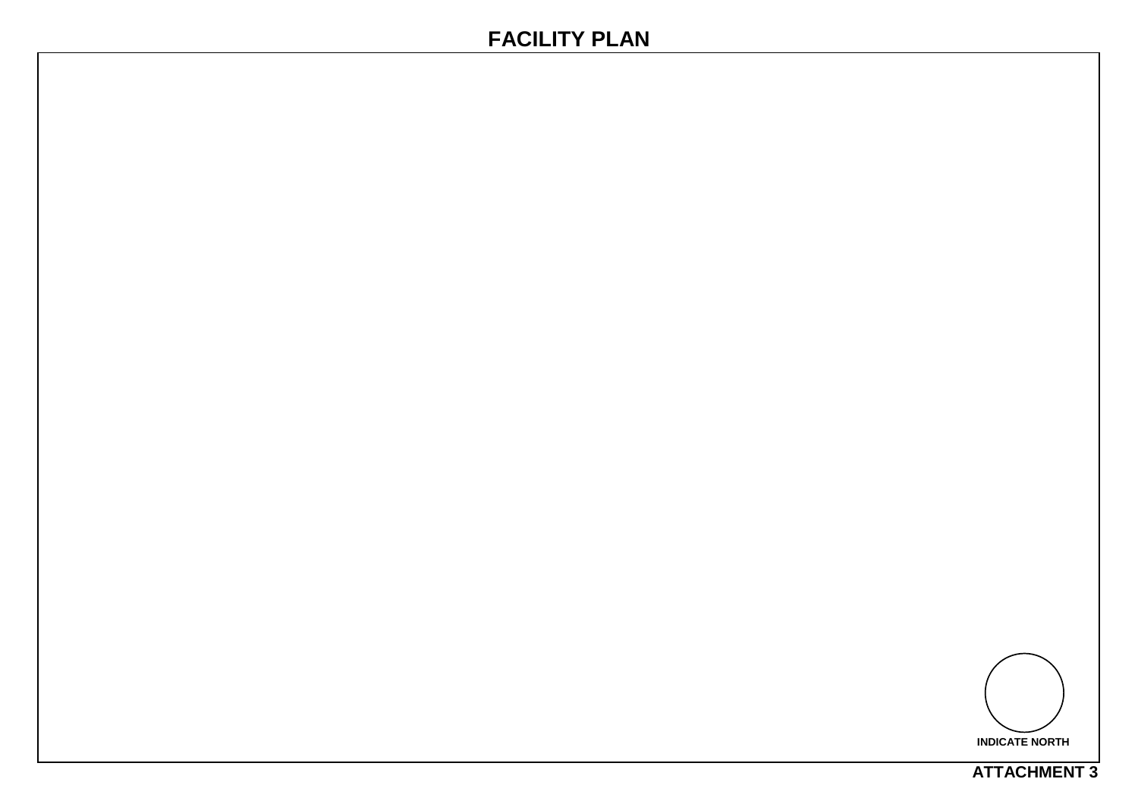# <span id="page-24-0"></span>**FACILITY PLAN**



**ATTACHMENT 3**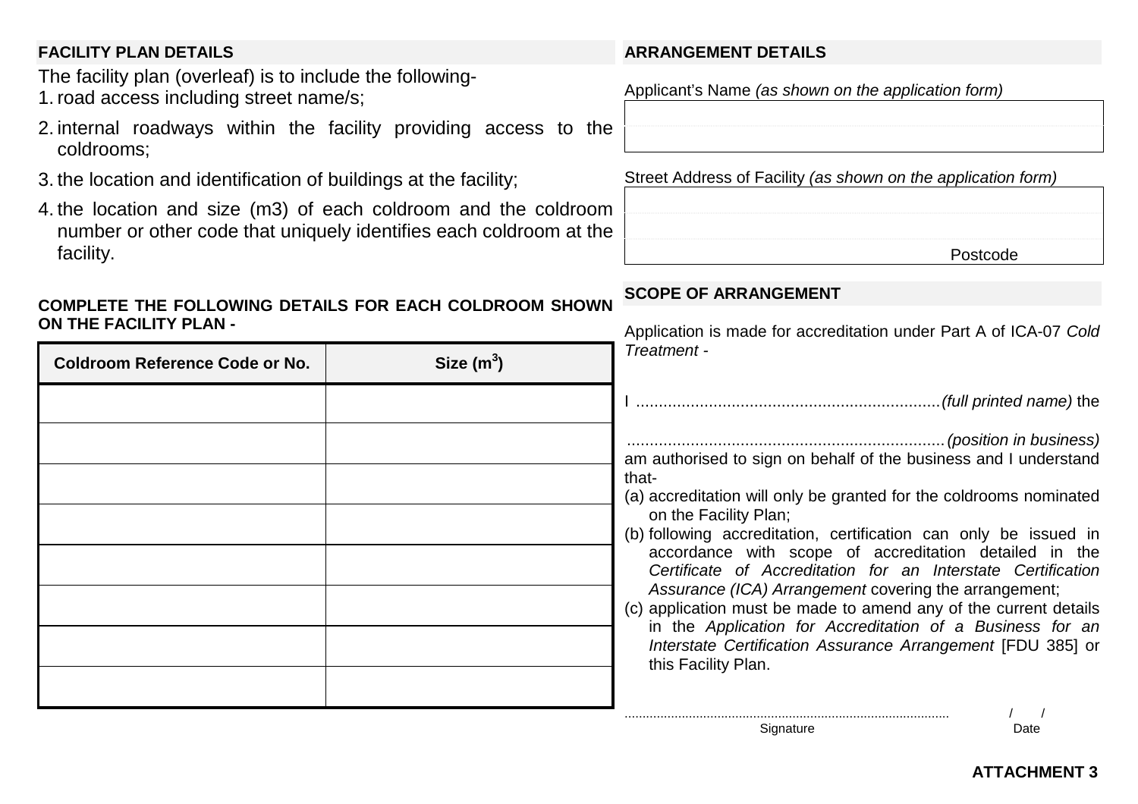#### **FACILITY PLAN DETAILS**

The facility plan (overleaf) is to include the following-1. road access including street name/s;

- 2. internal roadways within the facility providing access to the coldrooms;
- 3. the location and identification of buildings at the facility;
- 4. the location and size (m3) of each coldroom and the coldroom number or other code that uniquely identifies each coldroom at the facility.

#### **COMPLETE THE FOLLOWING DETAILS FOR EACH COLDROOM SHOWNON THE FACILITY PLAN -**

| <b>Coldroom Reference Code or No.</b> | Size $(m^3)$ | $\tau$                         |
|---------------------------------------|--------------|--------------------------------|
|                                       |              |                                |
|                                       |              | $\ddot{\phantom{0}}$           |
|                                       |              | a<br>t<br>$(\tilde{\epsilon})$ |
|                                       |              | (                              |
|                                       |              |                                |
|                                       |              | $\overline{\mathsf{C}}$        |
|                                       |              |                                |
|                                       |              |                                |
|                                       |              |                                |

#### **ARRANGEMENT DETAILS**

Applicant's Name *(as shown on the application form)*

Street Address of Facility *(as shown on the application form)*

| Postcode |
|----------|

#### **SCOPE OF ARRANGEMENT**

Application is made for accreditation under Part A of ICA-07 *Cold Treatment -*

I ...................................................................*(full printed name)* the

......................................................................*(position in business)* am authorised to sign on behalf of the business and I understand าat-

a) accreditation will only be granted for the coldrooms nominated on the Facility Plan;

b) following accreditation, certification can only be issued in accordance with scope of accreditation detailed in the *Certificate of Accreditation for an Interstate CertificationAssurance (ICA) Arrangement* covering the arrangement;

c) application must be made to amend any of the current details in the *Application for Accreditation of a Business for an Interstate Certification Assurance Arrangement* [FDU 385] or this Facility Plan.

Signature Date

........................................................................................... / /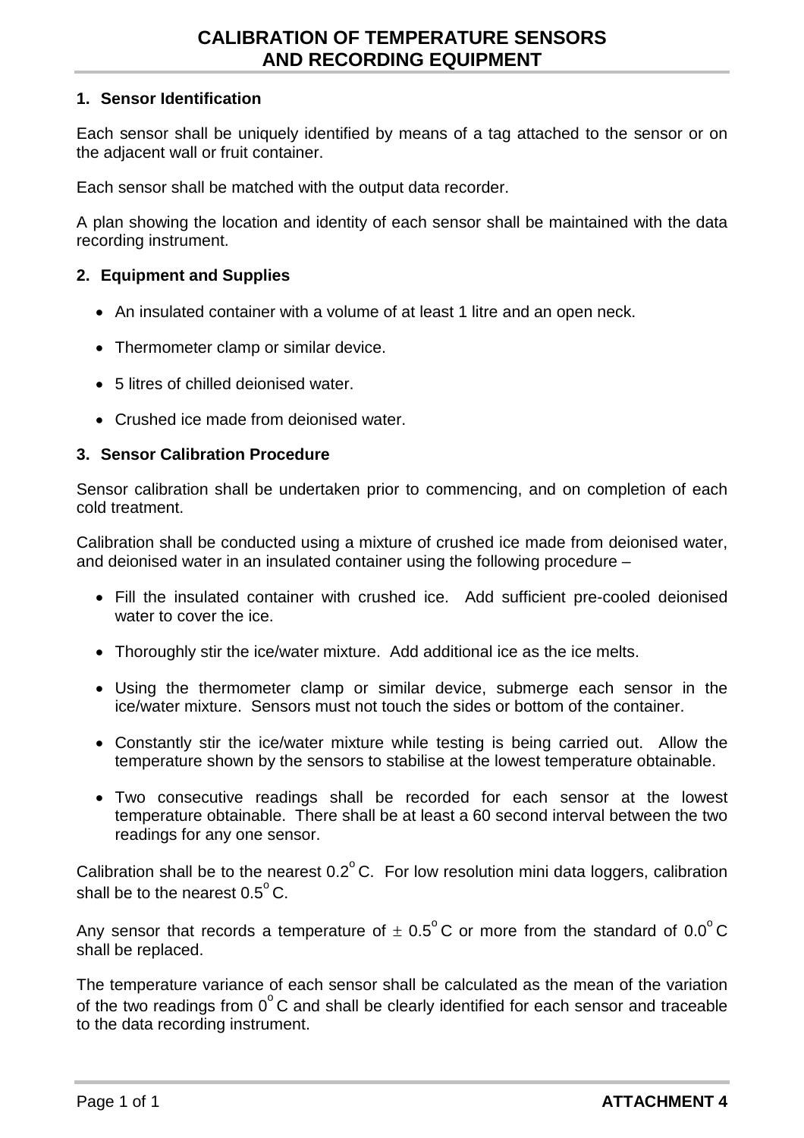#### <span id="page-26-0"></span>**1. Sensor Identification**

Each sensor shall be uniquely identified by means of a tag attached to the sensor or on the adjacent wall or fruit container.

Each sensor shall be matched with the output data recorder.

A plan showing the location and identity of each sensor shall be maintained with the data recording instrument.

#### **2. Equipment and Supplies**

- An insulated container with a volume of at least 1 litre and an open neck.
- Thermometer clamp or similar device.
- 5 litres of chilled deionised water.
- Crushed ice made from deionised water.

#### **3. Sensor Calibration Procedure**

Sensor calibration shall be undertaken prior to commencing, and on completion of each cold treatment.

Calibration shall be conducted using a mixture of crushed ice made from deionised water, and deionised water in an insulated container using the following procedure –

- Fill the insulated container with crushed ice. Add sufficient pre-cooled deionised water to cover the ice.
- Thoroughly stir the ice/water mixture. Add additional ice as the ice melts.
- Using the thermometer clamp or similar device, submerge each sensor in the ice/water mixture. Sensors must not touch the sides or bottom of the container.
- Constantly stir the ice/water mixture while testing is being carried out. Allow the temperature shown by the sensors to stabilise at the lowest temperature obtainable.
- Two consecutive readings shall be recorded for each sensor at the lowest temperature obtainable. There shall be at least a 60 second interval between the two readings for any one sensor.

Calibration shall be to the nearest  $0.2^{\circ}$  C. For low resolution mini data loggers, calibration shall be to the nearest  $0.5^{\circ}$  C.

Any sensor that records a temperature of  $\pm$  0.5<sup>o</sup>C or more from the standard of 0.0<sup>o</sup>C shall be replaced.

The temperature variance of each sensor shall be calculated as the mean of the variation of the two readings from  $0^{\circ}$ C and shall be clearly identified for each sensor and traceable to the data recording instrument.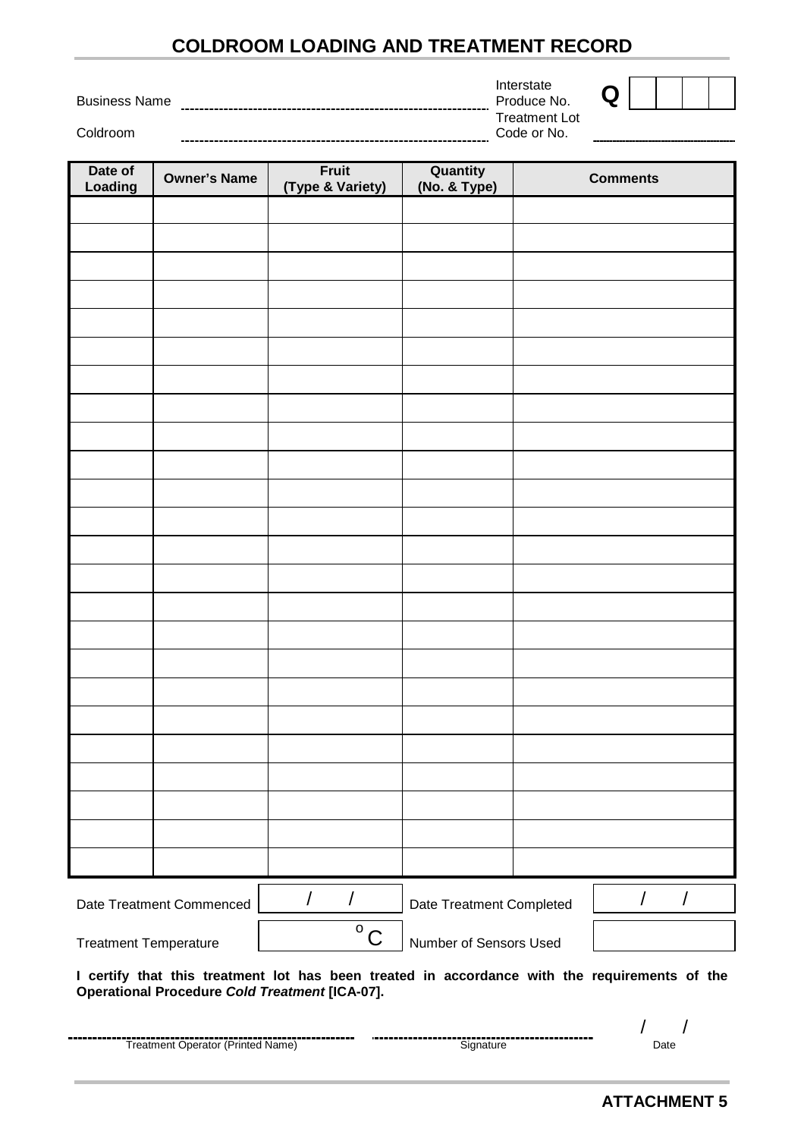# **COLDROOM LOADING AND TREATMENT RECORD**

<span id="page-27-0"></span>Business Name 

Coldroom

| Coldroom                     |                          |                           |                          | Code or No. |                                                                                               |
|------------------------------|--------------------------|---------------------------|--------------------------|-------------|-----------------------------------------------------------------------------------------------|
| Date of<br>Loading           | <b>Owner's Name</b>      | Fruit<br>(Type & Variety) | Quantity<br>(No. & Type) |             | <b>Comments</b>                                                                               |
|                              |                          |                           |                          |             |                                                                                               |
|                              |                          |                           |                          |             |                                                                                               |
|                              |                          |                           |                          |             |                                                                                               |
|                              |                          |                           |                          |             |                                                                                               |
|                              |                          |                           |                          |             |                                                                                               |
|                              |                          |                           |                          |             |                                                                                               |
|                              |                          |                           |                          |             |                                                                                               |
|                              |                          |                           |                          |             |                                                                                               |
|                              |                          |                           |                          |             |                                                                                               |
|                              |                          |                           |                          |             |                                                                                               |
|                              |                          |                           |                          |             |                                                                                               |
|                              |                          |                           |                          |             |                                                                                               |
|                              |                          |                           |                          |             |                                                                                               |
|                              |                          |                           |                          |             |                                                                                               |
|                              |                          |                           |                          |             |                                                                                               |
|                              |                          |                           |                          |             |                                                                                               |
|                              |                          |                           |                          |             |                                                                                               |
|                              |                          |                           |                          |             |                                                                                               |
|                              |                          |                           |                          |             |                                                                                               |
|                              |                          |                           |                          |             |                                                                                               |
|                              |                          |                           |                          |             |                                                                                               |
|                              |                          |                           |                          |             |                                                                                               |
|                              |                          |                           |                          |             |                                                                                               |
|                              | Date Treatment Commenced | $\sqrt{2}$<br>T           | Date Treatment Completed |             | $\sqrt{2}$<br>/                                                                               |
| <b>Treatment Temperature</b> |                          | $\overline{O}$ C          | Number of Sensors Used   |             |                                                                                               |
|                              |                          |                           |                          |             | I certify that this treatment lot has been treated in accordance with the requirements of the |

**Operational Procedure** *Cold Treatment* **[ICA-07].**

| --------<br>Treatment Operator (Printed<br>(Name |  | )ate |
|--------------------------------------------------|--|------|

Produce No. **Q** Treatment Lot

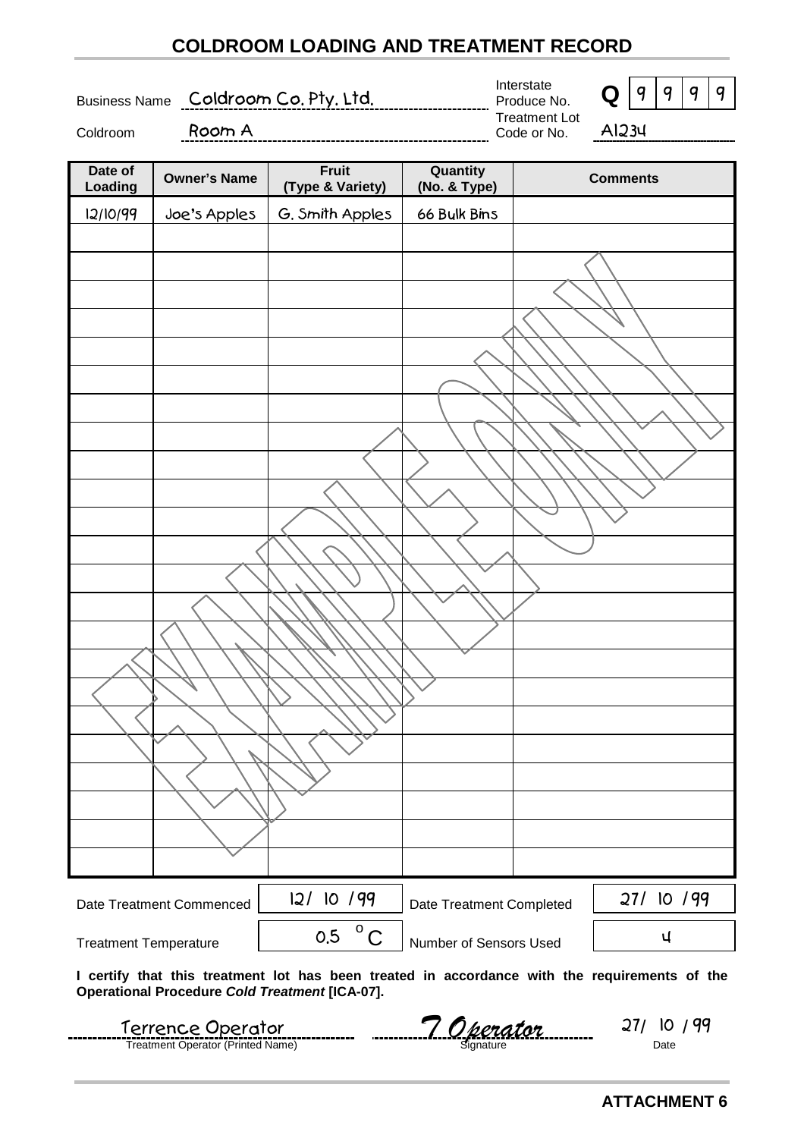# **COLDROOM LOADING AND TREATMENT RECORD**

<span id="page-28-0"></span>Business Name Coldroom Co. Pty. Ltd.

Interstate



 $\overline{a}$ 

Coldroom Room A

Treatment Lot Code or No. A1234



| Date of<br>Loading           | <b>Owner's Name</b>      | Fruit<br>(Type & Variety) | Quantity<br>(No. & Type) | <b>Comments</b> |
|------------------------------|--------------------------|---------------------------|--------------------------|-----------------|
| 12/10/99                     | Joe's Apples             | G. Smith Apples           | 66 Bulk Bins             |                 |
|                              |                          |                           |                          |                 |
|                              |                          |                           |                          |                 |
|                              |                          |                           |                          |                 |
|                              |                          |                           |                          |                 |
|                              |                          |                           |                          |                 |
|                              |                          |                           |                          |                 |
|                              |                          |                           |                          |                 |
|                              |                          |                           |                          |                 |
|                              |                          |                           |                          |                 |
|                              |                          |                           |                          |                 |
|                              |                          |                           |                          |                 |
|                              |                          |                           |                          |                 |
|                              |                          |                           |                          |                 |
|                              |                          |                           |                          |                 |
|                              |                          |                           |                          |                 |
|                              |                          |                           |                          |                 |
|                              |                          |                           |                          |                 |
|                              |                          |                           |                          |                 |
|                              |                          |                           |                          |                 |
|                              |                          |                           |                          |                 |
|                              |                          |                           |                          |                 |
|                              |                          |                           |                          |                 |
|                              |                          |                           |                          |                 |
|                              | Date Treatment Commenced | 12/10/99                  | Date Treatment Completed | 27/ 10 /99      |
| <b>Treatment Temperature</b> |                          | $^{\circ}$ C<br>0.5       | Number of Sensors Used   | Ч               |
|                              |                          |                           |                          |                 |

**I certify that this treatment lot has been treated in accordance with the requirements of the Operational Procedure** *Cold Treatment* **[ICA-07].**

| Terrence Operator                 | Derator   | <u>J'</u> |
|-----------------------------------|-----------|-----------|
| Treatment Operator (Printed Name) | anatureات | Date      |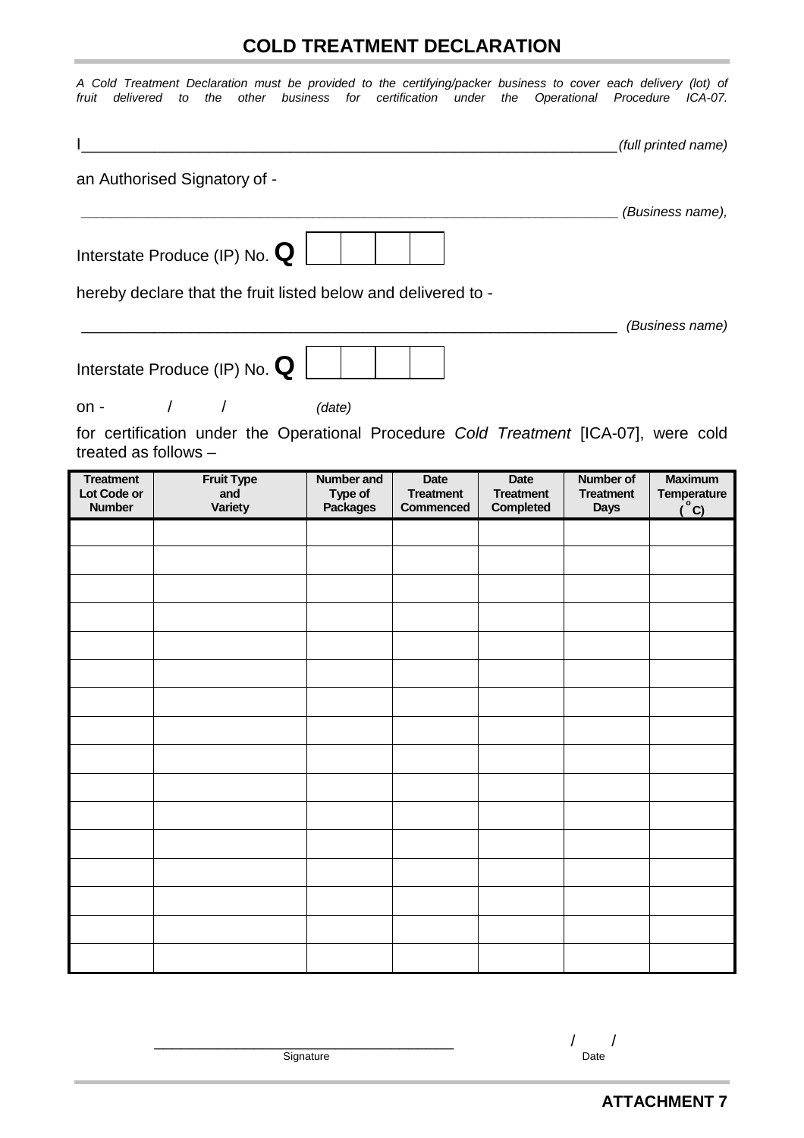# **COLD TREATMENT DECLARATION**

<span id="page-29-0"></span>

| fruit<br>delivered                               | A Cold Treatment Declaration must be provided to the certifying/packer business to cover each delivery (lot) of<br>the<br>to | other business for certification under          |                                                     |                                              | the Operational Procedure ICA-07.            |                                                       |
|--------------------------------------------------|------------------------------------------------------------------------------------------------------------------------------|-------------------------------------------------|-----------------------------------------------------|----------------------------------------------|----------------------------------------------|-------------------------------------------------------|
|                                                  |                                                                                                                              |                                                 |                                                     |                                              |                                              | (full printed name)                                   |
|                                                  | an Authorised Signatory of -                                                                                                 |                                                 |                                                     |                                              |                                              | (Business name),                                      |
|                                                  | Interstate Produce (IP) No. $\mathbf Q$                                                                                      |                                                 |                                                     |                                              |                                              |                                                       |
|                                                  | hereby declare that the fruit listed below and delivered to -                                                                |                                                 |                                                     |                                              |                                              | (Business name)                                       |
|                                                  | Interstate Produce (IP) No. $\mathbf Q$                                                                                      |                                                 |                                                     |                                              |                                              |                                                       |
| $on -$                                           | $\sqrt{2}$<br>$\sqrt{2}$                                                                                                     | (date)                                          |                                                     |                                              |                                              |                                                       |
| treated as follows -                             | for certification under the Operational Procedure Cold Treatment [ICA-07], were cold                                         |                                                 |                                                     |                                              |                                              |                                                       |
| <b>Treatment</b><br>Lot Code or<br><b>Number</b> | <b>Fruit Type</b><br>and<br><b>Variety</b>                                                                                   | <b>Number and</b><br>Type of<br><b>Packages</b> | <b>Date</b><br><b>Treatment</b><br><b>Commenced</b> | Date<br><b>Treatment</b><br><b>Completed</b> | Number of<br><b>Treatment</b><br><b>Days</b> | <b>Maximum</b><br><b>Temperature</b><br>$^{\circ}$ C) |
|                                                  |                                                                                                                              |                                                 |                                                     |                                              |                                              |                                                       |
|                                                  |                                                                                                                              |                                                 |                                                     |                                              |                                              |                                                       |
|                                                  |                                                                                                                              |                                                 |                                                     |                                              |                                              |                                                       |
|                                                  |                                                                                                                              |                                                 |                                                     |                                              |                                              |                                                       |
|                                                  |                                                                                                                              |                                                 |                                                     |                                              |                                              |                                                       |
|                                                  |                                                                                                                              |                                                 |                                                     |                                              |                                              |                                                       |
|                                                  |                                                                                                                              |                                                 |                                                     |                                              |                                              |                                                       |
|                                                  |                                                                                                                              |                                                 |                                                     |                                              |                                              |                                                       |
|                                                  |                                                                                                                              |                                                 |                                                     |                                              |                                              |                                                       |
|                                                  |                                                                                                                              |                                                 |                                                     |                                              |                                              |                                                       |
|                                                  |                                                                                                                              |                                                 |                                                     |                                              |                                              |                                                       |
|                                                  |                                                                                                                              |                                                 |                                                     |                                              |                                              |                                                       |
|                                                  |                                                                                                                              |                                                 |                                                     |                                              |                                              |                                                       |
|                                                  |                                                                                                                              |                                                 |                                                     |                                              |                                              |                                                       |

 $\frac{1}{\sqrt{2}}$  Date

 $Signature$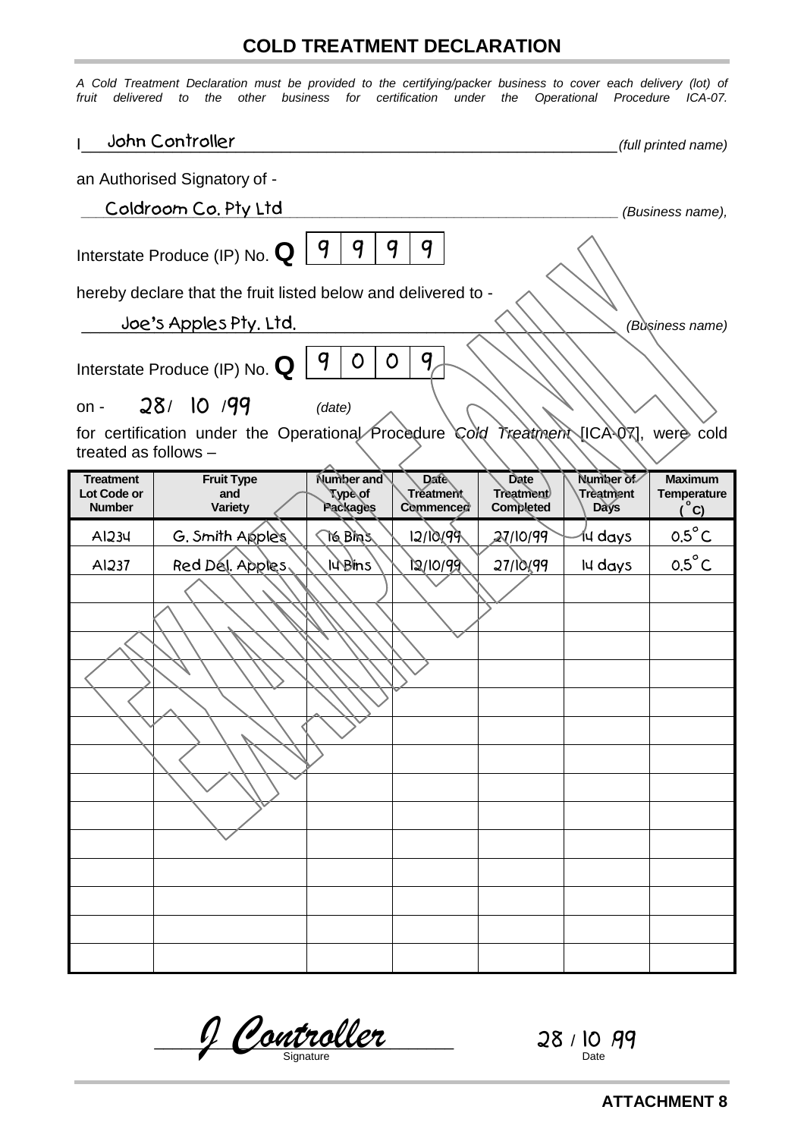# **COLD TREATMENT DECLARATION**

<span id="page-30-0"></span>*A Cold Treatment Declaration must be provided to the certifying/packer business to cover each delivery (lot) of fruit delivered to the other business for certification under the Operational Procedure ICA-07.*

|                                                  | John Controller                                               |                                          |                                       |                                       |                                       | (full printed name)                                |  |  |
|--------------------------------------------------|---------------------------------------------------------------|------------------------------------------|---------------------------------------|---------------------------------------|---------------------------------------|----------------------------------------------------|--|--|
|                                                  | an Authorised Signatory of -                                  |                                          |                                       |                                       |                                       |                                                    |  |  |
|                                                  | Coldroom Co. Pty Ltd<br>(Business name),                      |                                          |                                       |                                       |                                       |                                                    |  |  |
|                                                  | Interstate Produce (IP) No. $\bf{Q}$                          | 9<br>9<br>9                              | 9                                     |                                       |                                       |                                                    |  |  |
|                                                  | hereby declare that the fruit listed below and delivered to - |                                          |                                       |                                       |                                       |                                                    |  |  |
|                                                  | Joe's Apples Pty. Ltd.                                        |                                          |                                       |                                       |                                       | (Business name)                                    |  |  |
| $on -$                                           | Interstate Produce (IP) No. $\bf{Q}$<br>28/10/99              | 9<br>O<br>0<br>(date)                    | 9                                     |                                       |                                       |                                                    |  |  |
| treated as follows -                             | for certification under the Operational Procedure             |                                          | Cold                                  |                                       | Treatment [ICA-07],                   | were cold                                          |  |  |
| <b>Treatment</b><br>Lot Code or<br><b>Number</b> | <b>Fruit Type</b><br>and<br><b>Variety</b>                    | <b>Number and</b><br>¶ypè\of<br>Packages | <b>Date</b><br>Treatment<br>Commenced | Date<br><b>Treatment</b><br>Completed | Number of<br>Trèatment<br><b>Days</b> | <b>Maximum</b><br><b>Temperature</b><br><u>°C)</u> |  |  |
| AI234                                            | G. Smith Apples                                               | TG BINS                                  | 12/10/99                              | 27/10/99                              | 14 days                               | $0.5^{\circ}$ C                                    |  |  |
| AI237                                            | Red Dél. Apples,                                              | <b>I</b> urem <sub>s</sub>               | 12/10/99                              | 27/10/99                              | Iu days                               | $0.5^{\circ}$ C                                    |  |  |
|                                                  |                                                               |                                          |                                       |                                       |                                       |                                                    |  |  |
|                                                  |                                                               |                                          |                                       |                                       |                                       |                                                    |  |  |
|                                                  |                                                               |                                          |                                       |                                       |                                       |                                                    |  |  |
|                                                  |                                                               |                                          |                                       |                                       |                                       |                                                    |  |  |
|                                                  |                                                               |                                          |                                       |                                       |                                       |                                                    |  |  |
|                                                  |                                                               |                                          |                                       |                                       |                                       |                                                    |  |  |
|                                                  |                                                               |                                          |                                       |                                       |                                       |                                                    |  |  |
|                                                  |                                                               |                                          |                                       |                                       |                                       |                                                    |  |  |
|                                                  |                                                               |                                          |                                       |                                       |                                       |                                                    |  |  |
|                                                  |                                                               |                                          |                                       |                                       |                                       |                                                    |  |  |
|                                                  |                                                               |                                          |                                       |                                       |                                       |                                                    |  |  |
|                                                  |                                                               |                                          |                                       |                                       |                                       |                                                    |  |  |
|                                                  |                                                               |                                          |                                       |                                       |                                       |                                                    |  |  |
|                                                  |                                                               |                                          |                                       |                                       |                                       |                                                    |  |  |

 $\frac{1}{28}$  /  $\frac{1}{20}$  /  $\frac{1}{20}$  /  $\frac{1}{20}$  /  $\frac{1}{20}$  /  $\frac{1}{20}$  /  $\frac{1}{20}$  /  $\frac{1}{20}$ Signature Date *J Controller* 28 10 99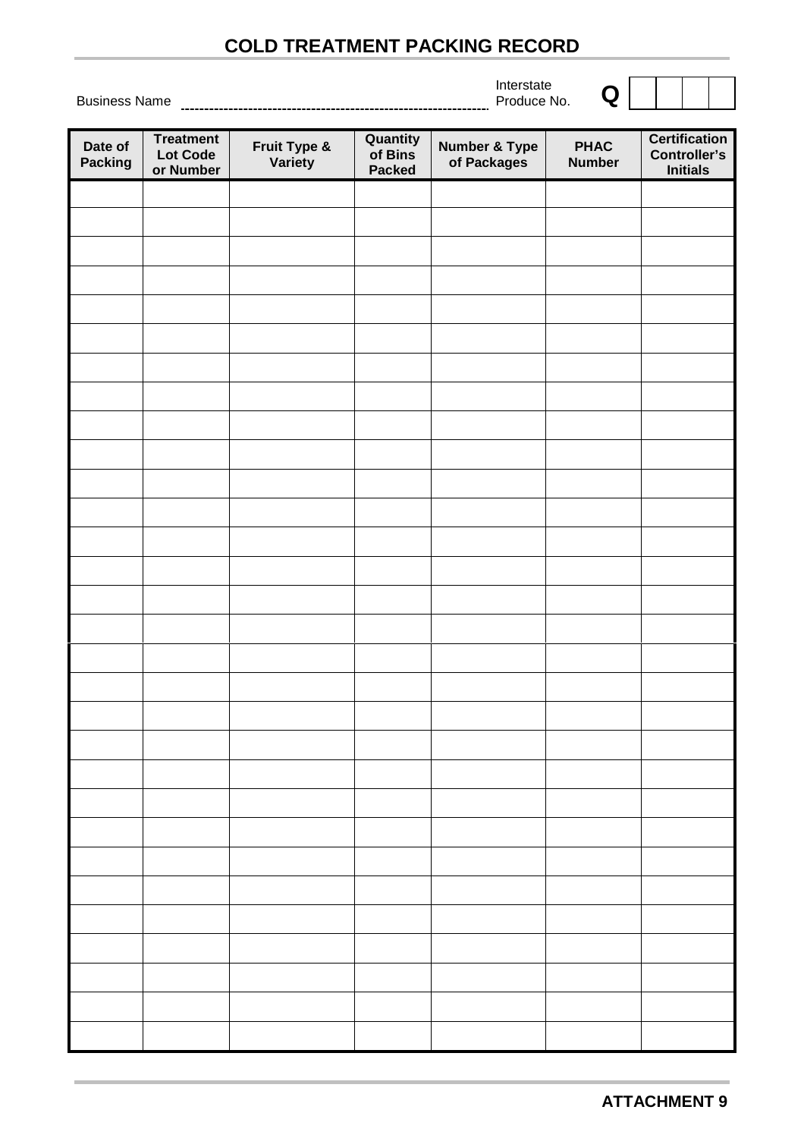# **COLD TREATMENT PACKING RECORD**

Interstate

| Date of<br>Packing | <b>Treatment</b><br>Lot Code<br>or Number | <b>Fruit Type &amp;</b><br>Variety | <b>Quantity</b><br>of Bins<br>Packed | <b>Number &amp; Type<br/>of Packages</b> | <b>PHAC</b><br><b>Number</b> | Certification<br><b>Controller's</b><br><b>Initials</b> |
|--------------------|-------------------------------------------|------------------------------------|--------------------------------------|------------------------------------------|------------------------------|---------------------------------------------------------|
|                    |                                           |                                    |                                      |                                          |                              |                                                         |
|                    |                                           |                                    |                                      |                                          |                              |                                                         |
|                    |                                           |                                    |                                      |                                          |                              |                                                         |
|                    |                                           |                                    |                                      |                                          |                              |                                                         |
|                    |                                           |                                    |                                      |                                          |                              |                                                         |
|                    |                                           |                                    |                                      |                                          |                              |                                                         |
|                    |                                           |                                    |                                      |                                          |                              |                                                         |
|                    |                                           |                                    |                                      |                                          |                              |                                                         |
|                    |                                           |                                    |                                      |                                          |                              |                                                         |
|                    |                                           |                                    |                                      |                                          |                              |                                                         |
|                    |                                           |                                    |                                      |                                          |                              |                                                         |
|                    |                                           |                                    |                                      |                                          |                              |                                                         |
|                    |                                           |                                    |                                      |                                          |                              |                                                         |
|                    |                                           |                                    |                                      |                                          |                              |                                                         |
|                    |                                           |                                    |                                      |                                          |                              |                                                         |
|                    |                                           |                                    |                                      |                                          |                              |                                                         |
|                    |                                           |                                    |                                      |                                          |                              |                                                         |
|                    |                                           |                                    |                                      |                                          |                              |                                                         |
|                    |                                           |                                    |                                      |                                          |                              |                                                         |
|                    |                                           |                                    |                                      |                                          |                              |                                                         |
|                    |                                           |                                    |                                      |                                          |                              |                                                         |
|                    |                                           |                                    |                                      |                                          |                              |                                                         |
|                    |                                           |                                    |                                      |                                          |                              |                                                         |
|                    |                                           |                                    |                                      |                                          |                              |                                                         |
|                    |                                           |                                    |                                      |                                          |                              |                                                         |
|                    |                                           |                                    |                                      |                                          |                              |                                                         |
|                    |                                           |                                    |                                      |                                          |                              |                                                         |
|                    |                                           |                                    |                                      |                                          |                              |                                                         |
|                    |                                           |                                    |                                      |                                          |                              |                                                         |
|                    |                                           |                                    |                                      |                                          |                              |                                                         |
|                    |                                           |                                    |                                      |                                          |                              |                                                         |

<span id="page-31-0"></span>Business Name Produce No. **Q**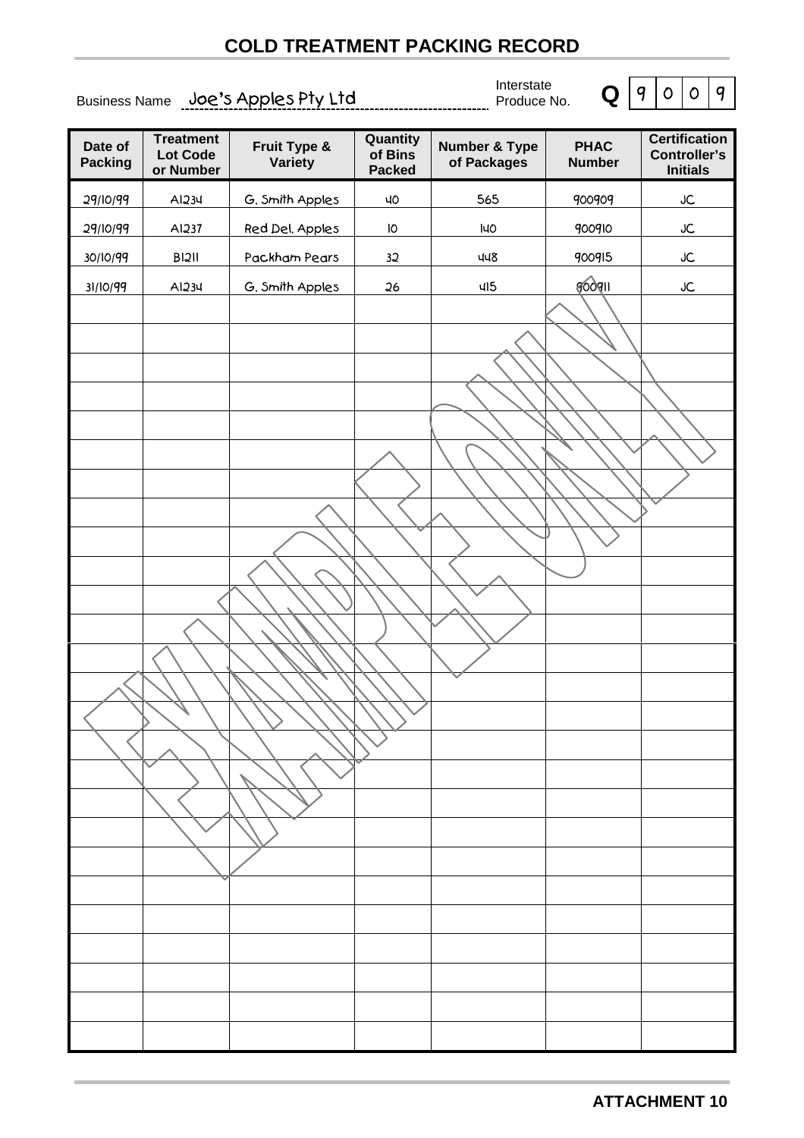# **COLD TREATMENT PACKING RECORD**

<span id="page-32-0"></span>Business Name Joe's Apples Pty Ltd Find the Business Name Joe's Apples Pty Ltd

Interstate



| Date of<br><b>Packing</b> | <b>Treatment</b><br><b>Lot Code</b><br>or Number | Fruit Type &<br>Variety | Quantity<br>of Bins<br><b>Packed</b> | <b>Number &amp; Type</b><br>of Packages | <b>PHAC</b><br><b>Number</b> | <b>Certification</b><br><b>Controller's</b><br><b>Initials</b> |
|---------------------------|--------------------------------------------------|-------------------------|--------------------------------------|-----------------------------------------|------------------------------|----------------------------------------------------------------|
| 29/10/99                  | AI234                                            | G. Smith Apples         | ЧO                                   | 565                                     | 900909                       | ${\sf JC}$                                                     |
| 29/10/99                  | AI237                                            | Red Del. Apples         | 10                                   | I40                                     | 900910                       | ${\sf JC}$                                                     |
| 30/10/99                  | <b>BI2II</b>                                     | Packham Pears           | 32                                   | 448                                     | 900915                       | ${\sf JC}$                                                     |
| 31/10/99                  | AI234                                            | G. Smith Apples         | 26                                   | 415                                     | googli                       | JC                                                             |
|                           |                                                  |                         |                                      |                                         |                              |                                                                |
|                           |                                                  |                         |                                      |                                         |                              |                                                                |
|                           |                                                  |                         |                                      |                                         |                              |                                                                |
|                           |                                                  |                         |                                      |                                         |                              |                                                                |
|                           |                                                  |                         |                                      |                                         |                              |                                                                |
|                           |                                                  |                         |                                      |                                         |                              |                                                                |
|                           |                                                  |                         |                                      |                                         |                              |                                                                |
|                           |                                                  |                         |                                      |                                         |                              |                                                                |
|                           |                                                  |                         |                                      |                                         |                              |                                                                |
|                           |                                                  |                         |                                      |                                         |                              |                                                                |
|                           |                                                  |                         |                                      |                                         |                              |                                                                |
|                           |                                                  |                         |                                      |                                         |                              |                                                                |
|                           |                                                  |                         |                                      |                                         |                              |                                                                |
|                           |                                                  |                         |                                      |                                         |                              |                                                                |
|                           |                                                  |                         |                                      |                                         |                              |                                                                |
|                           |                                                  |                         |                                      |                                         |                              |                                                                |
|                           |                                                  |                         |                                      |                                         |                              |                                                                |
|                           |                                                  |                         |                                      |                                         |                              |                                                                |
|                           |                                                  |                         |                                      |                                         |                              |                                                                |
|                           |                                                  |                         |                                      |                                         |                              |                                                                |
|                           |                                                  |                         |                                      |                                         |                              |                                                                |
|                           |                                                  |                         |                                      |                                         |                              |                                                                |
|                           |                                                  |                         |                                      |                                         |                              |                                                                |
|                           |                                                  |                         |                                      |                                         |                              |                                                                |
|                           |                                                  |                         |                                      |                                         |                              |                                                                |
|                           |                                                  |                         |                                      |                                         |                              |                                                                |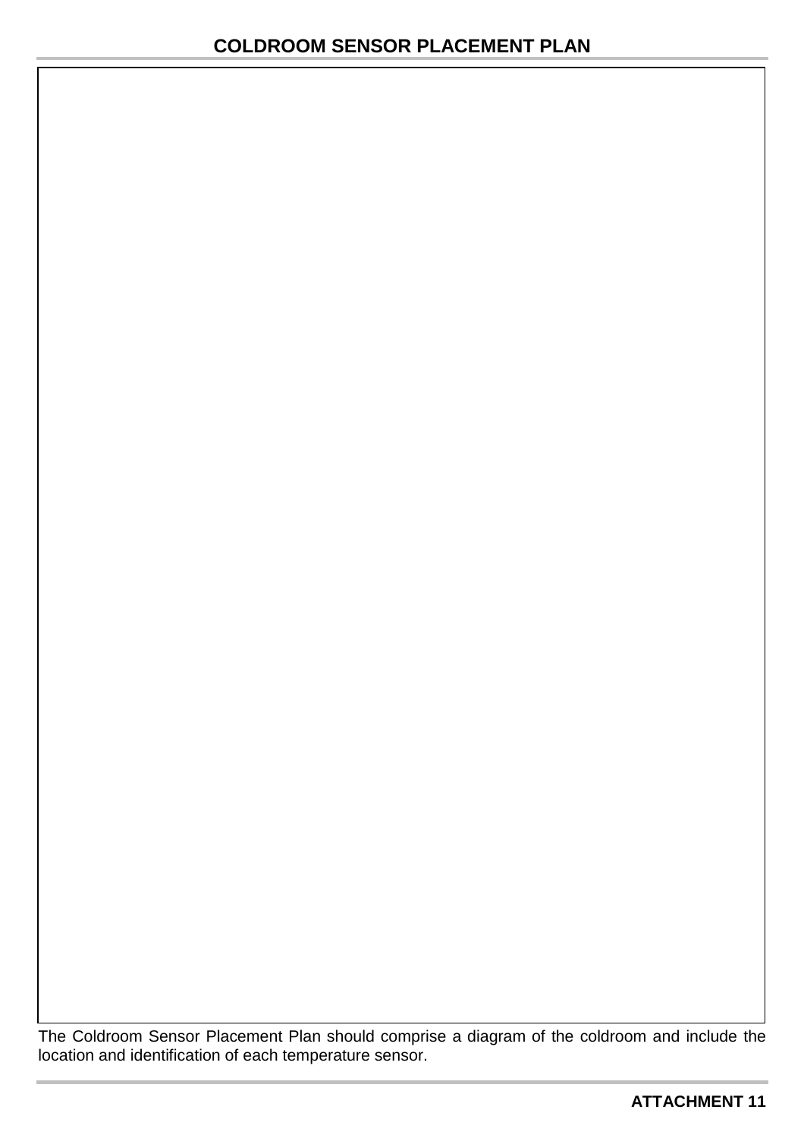<span id="page-33-0"></span>The Coldroom Sensor Placement Plan should comprise a diagram of the coldroom and include the location and identification of each temperature sensor.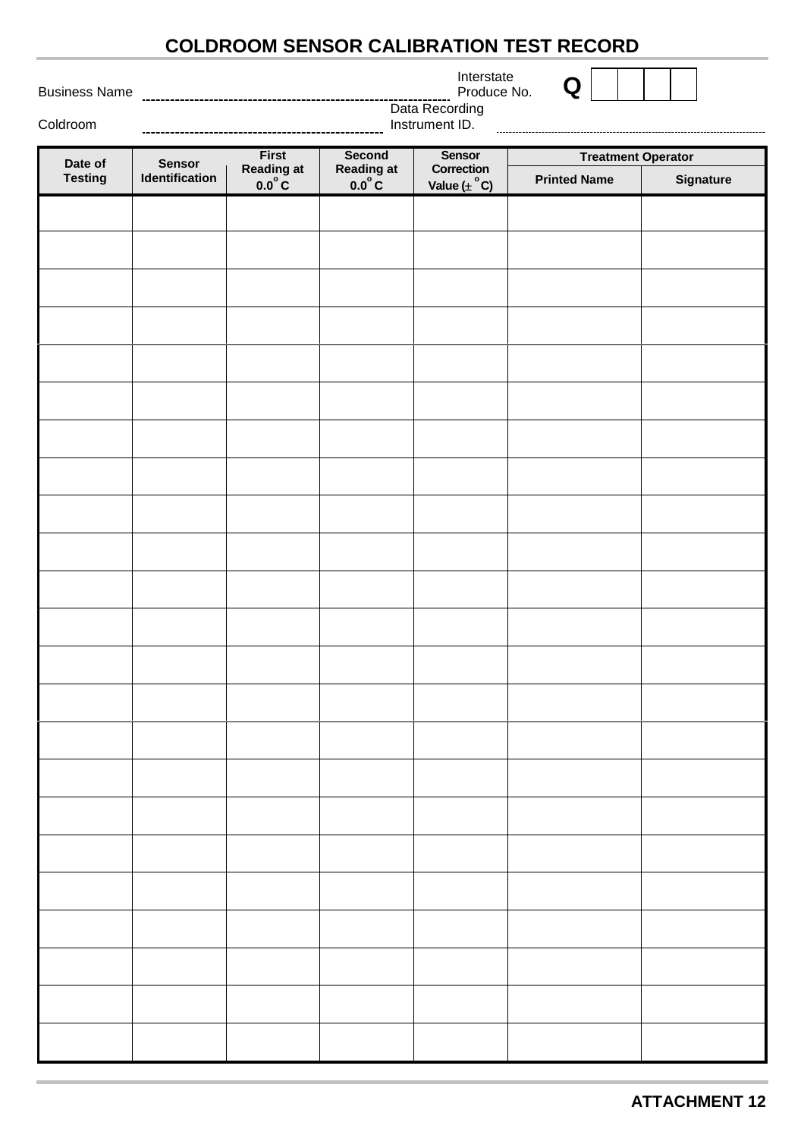# **COLDROOM SENSOR CALIBRATION TEST RECORD**

Interstate

| Interstate  |   |
|-------------|---|
| Produce No. | Q |

<span id="page-34-0"></span>Business Name
[11][11][12] Dusiness Name

Coldroom

|                | Produce No. |  |  |
|----------------|-------------|--|--|
| Data Recording |             |  |  |
| ment ID.       |             |  |  |
|                |             |  |  |

| Date of        | <b>Sensor</b>  | <b>First</b>               |                                            | <b>Sensor</b>                         | <b>Treatment Operator</b> |           |
|----------------|----------------|----------------------------|--------------------------------------------|---------------------------------------|---------------------------|-----------|
| <b>Testing</b> | Identification | Reading at $0.0^{\circ}$ C | Second<br>Reading at<br>0.0 <sup>°</sup> C | Correction<br>Value $(\pm \text{°C})$ | <b>Printed Name</b>       | Signature |
|                |                |                            |                                            |                                       |                           |           |
|                |                |                            |                                            |                                       |                           |           |
|                |                |                            |                                            |                                       |                           |           |
|                |                |                            |                                            |                                       |                           |           |
|                |                |                            |                                            |                                       |                           |           |
|                |                |                            |                                            |                                       |                           |           |
|                |                |                            |                                            |                                       |                           |           |
|                |                |                            |                                            |                                       |                           |           |
|                |                |                            |                                            |                                       |                           |           |
|                |                |                            |                                            |                                       |                           |           |
|                |                |                            |                                            |                                       |                           |           |
|                |                |                            |                                            |                                       |                           |           |
|                |                |                            |                                            |                                       |                           |           |
|                |                |                            |                                            |                                       |                           |           |
|                |                |                            |                                            |                                       |                           |           |
|                |                |                            |                                            |                                       |                           |           |
|                |                |                            |                                            |                                       |                           |           |
|                |                |                            |                                            |                                       |                           |           |
|                |                |                            |                                            |                                       |                           |           |
|                |                |                            |                                            |                                       |                           |           |
|                |                |                            |                                            |                                       |                           |           |
|                |                |                            |                                            |                                       |                           |           |
|                |                |                            |                                            |                                       |                           |           |